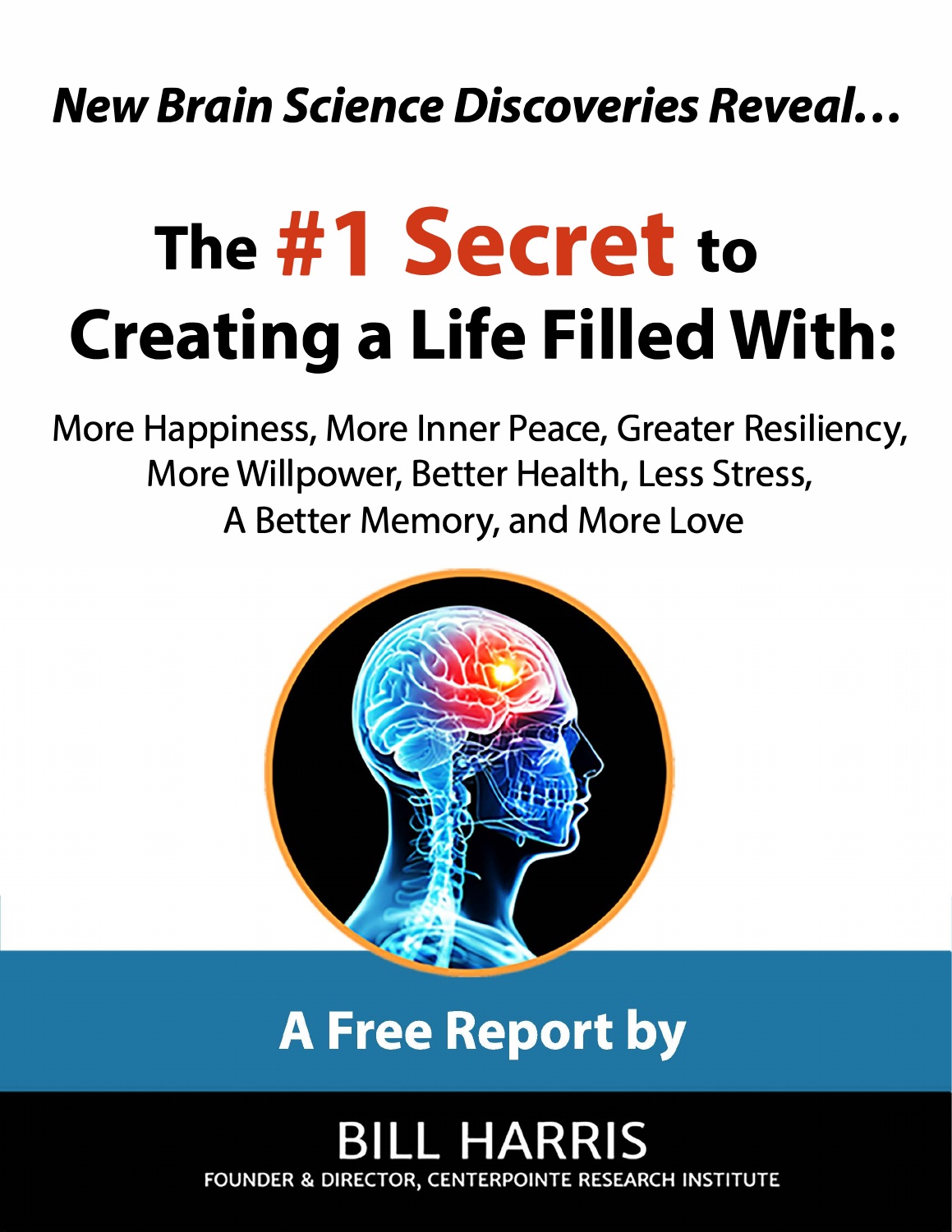# New Brain Science Discoveries Reveal...

# The #1 Secret to **Creating a Life Filled With:**

More Happiness, More Inner Peace, Greater Resiliency, More Willpower, Better Health, Less Stress, A Better Memory, and More Love



# **A Free Report by**

**LL HARR** FOUNDER & DIRECTOR, CENTERPOINTE RESEARCH INSTITUTE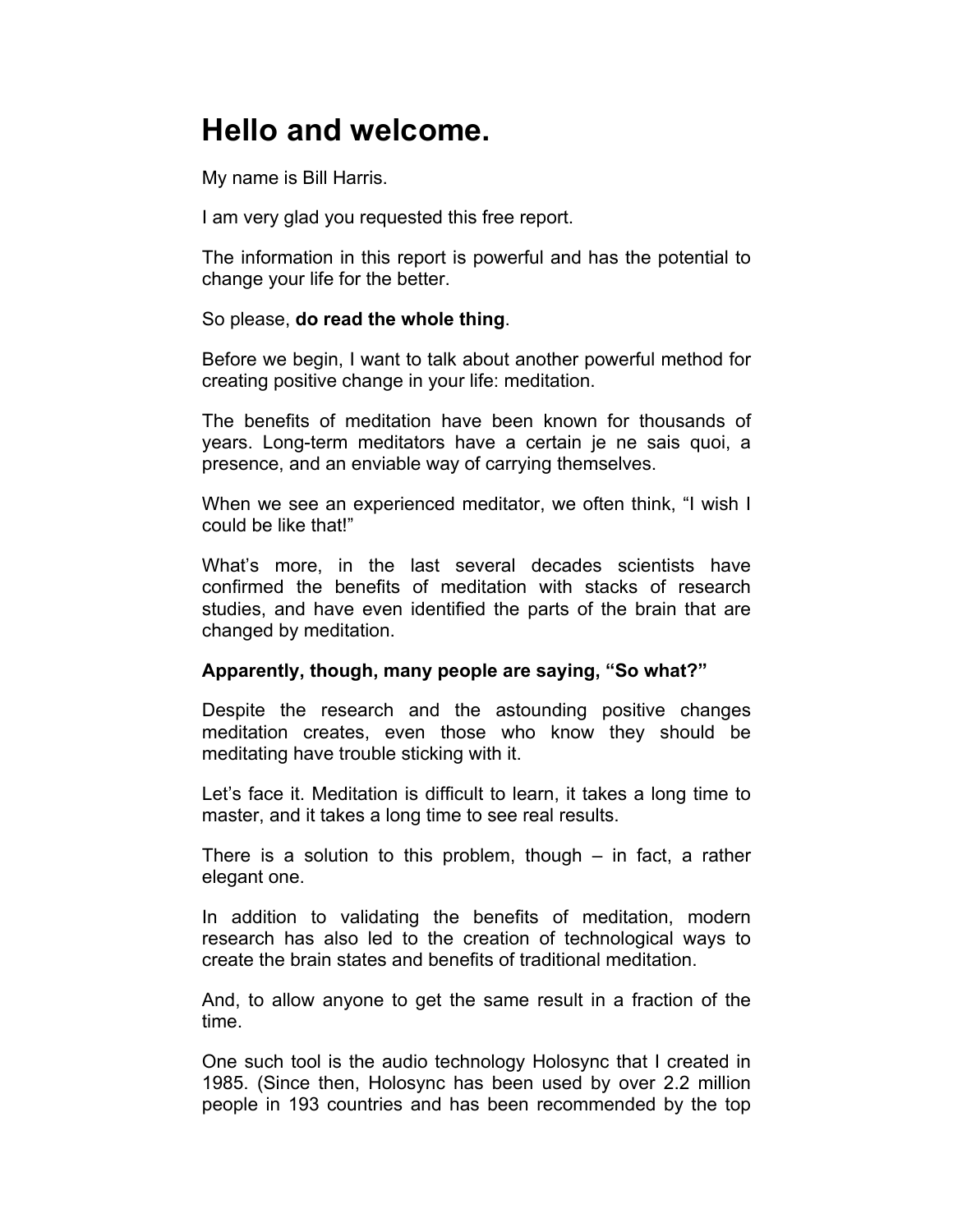### **Hello and welcome.**

My name is Bill Harris.

I am very glad you requested this free report.

The information in this report is powerful and has the potential to change your life for the better.

### So please, **do read the whole thing**.

Before we begin, I want to talk about another powerful method for creating positive change in your life: meditation.

The benefits of meditation have been known for thousands of years. Long-term meditators have a certain je ne sais quoi, a presence, and an enviable way of carrying themselves.

When we see an experienced meditator, we often think, "I wish I could be like that!"

What's more, in the last several decades scientists have confirmed the benefits of meditation with stacks of research studies, and have even identified the parts of the brain that are changed by meditation.

### **Apparently, though, many people are saying, "So what?"**

Despite the research and the astounding positive changes meditation creates, even those who know they should be meditating have trouble sticking with it.

Let's face it. Meditation is difficult to learn, it takes a long time to master, and it takes a long time to see real results.

There is a solution to this problem, though – in fact, a rather elegant one.

In addition to validating the benefits of meditation, modern research has also led to the creation of technological ways to create the brain states and benefits of traditional meditation.

And, to allow anyone to get the same result in a fraction of the time.

One such tool is the audio technology Holosync that I created in 1985. (Since then, Holosync has been used by over 2.2 million people in 193 countries and has been recommended by the top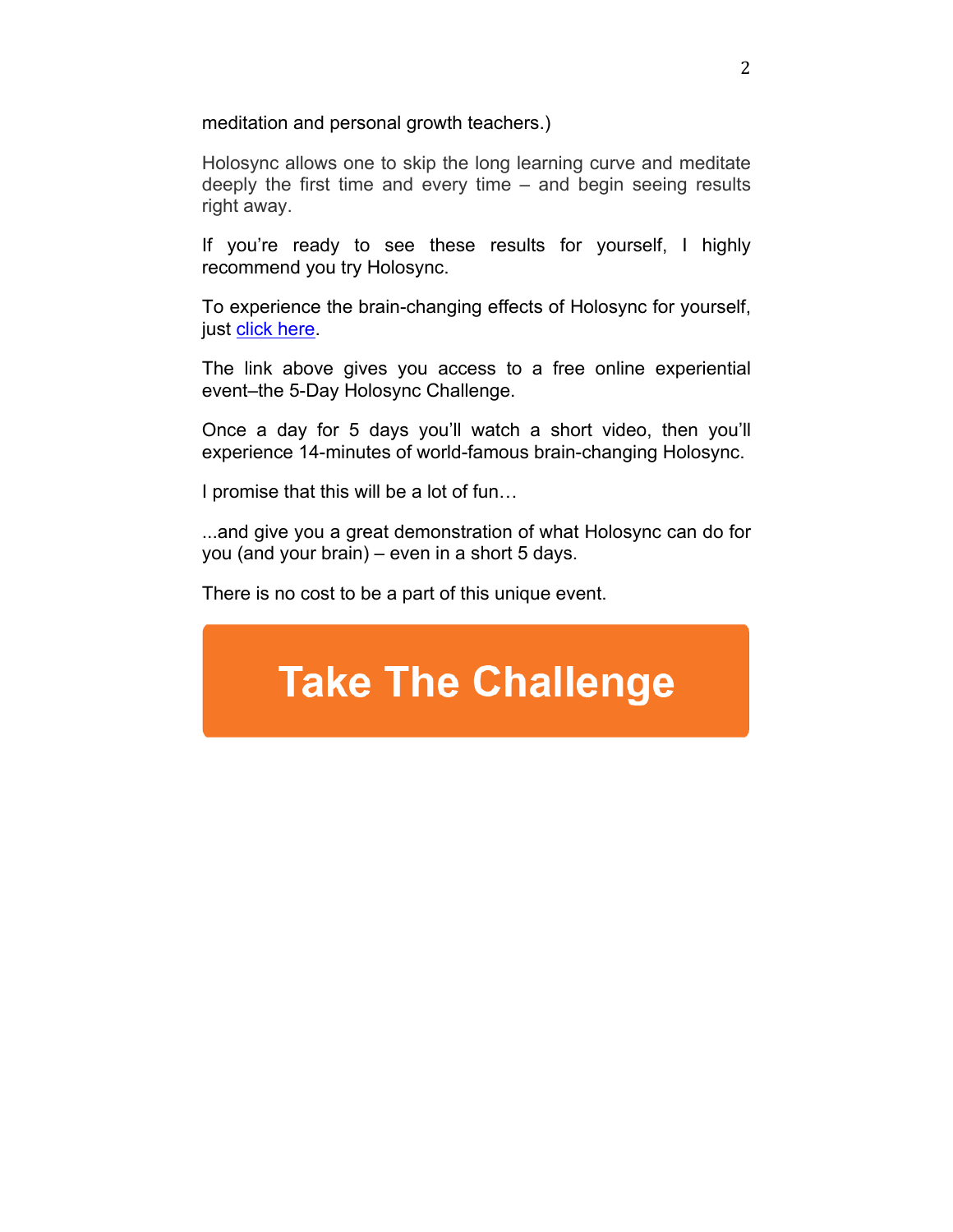meditation and personal growth teachers.)

Holosync allows one to skip the long learning curve and meditate deeply the first time and every time – and begin seeing results right away.

If you're ready to see these results for yourself, I highly recommend you try Holosync.

To experience the brain-changing effects of Holosync for yourself, ju[st click here.](http://challenge.centerpointe.com/you-wealth-revolution-sign-up/)

The link above gives you access to a free online experiential event–the 5-Day Holosync Challenge.

Once a day for 5 days you'll watch a short video, then you'll experience 14-minutes of world-famous brain-changing Holosync.

I promise that this will be a lot of fun…

...and give you a great demonstration of what Holosync can do for you (and your brain) – even in a short 5 days.

There is no cost to be a part of this unique event.

## **Take The Challenge**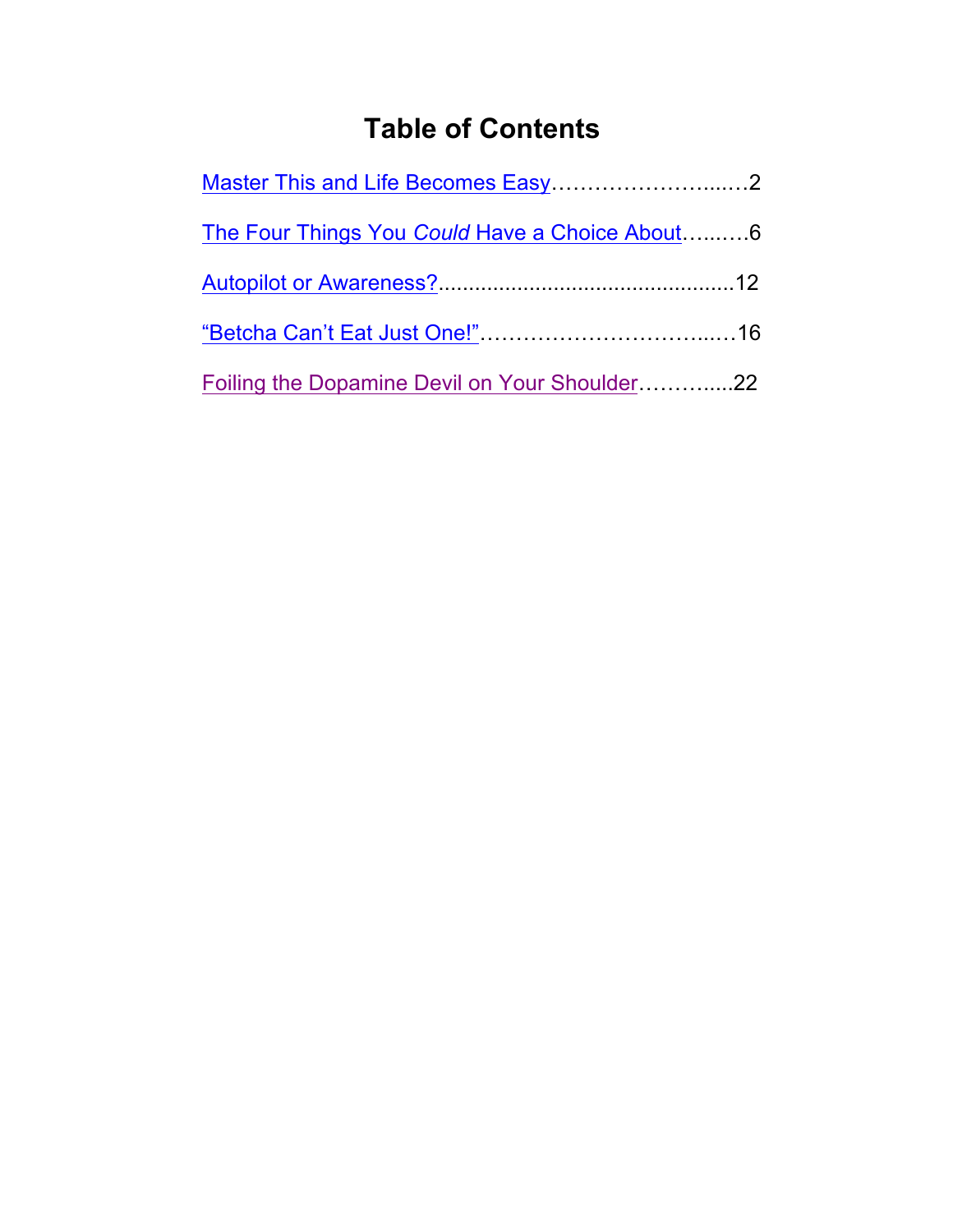### **Table of Contents**

| The Four Things You Could Have a Choice About6 |  |
|------------------------------------------------|--|
|                                                |  |
|                                                |  |
| Foiling the Dopamine Devil on Your Shoulder22  |  |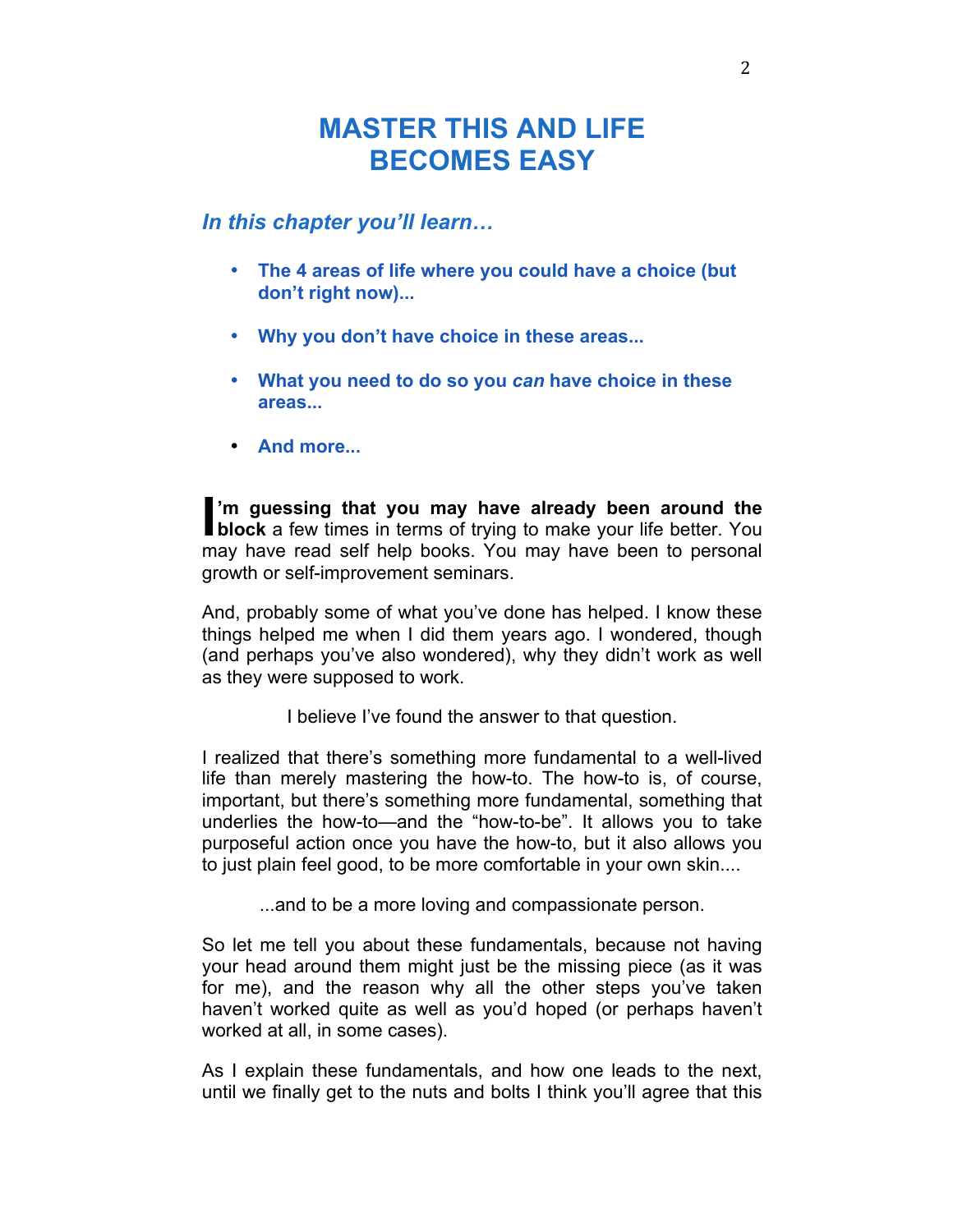### <span id="page-4-0"></span>**MASTER THIS AND LIFE BECOMES EASY**

### *In this chapter you'll learn…*

- **The 4 areas of life where you could have a choice (but don't right now)...**
- **Why you don't have choice in these areas...**
- **What you need to do so you** *can* **have choice in these areas...**
- **And more...**

**'m guessing that you may have already been around the**  I'm guessing that you may have already been around the block a few times in terms of trying to make your life better. You may have read self help books. You may have been to personal growth or self-improvement seminars.

And, probably some of what you've done has helped. I know these things helped me when I did them years ago. I wondered, though (and perhaps you've also wondered), why they didn't work as well as they were supposed to work.

I believe I've found the answer to that question.

I realized that there's something more fundamental to a well-lived life than merely mastering the how-to. The how-to is, of course, important, but there's something more fundamental, something that underlies the how-to—and the "how-to-be". It allows you to take purposeful action once you have the how-to, but it also allows you to just plain feel good, to be more comfortable in your own skin....

...and to be a more loving and compassionate person.

So let me tell you about these fundamentals, because not having your head around them might just be the missing piece (as it was for me), and the reason why all the other steps you've taken haven't worked quite as well as you'd hoped (or perhaps haven't worked at all, in some cases).

As I explain these fundamentals, and how one leads to the next, until we finally get to the nuts and bolts I think you'll agree that this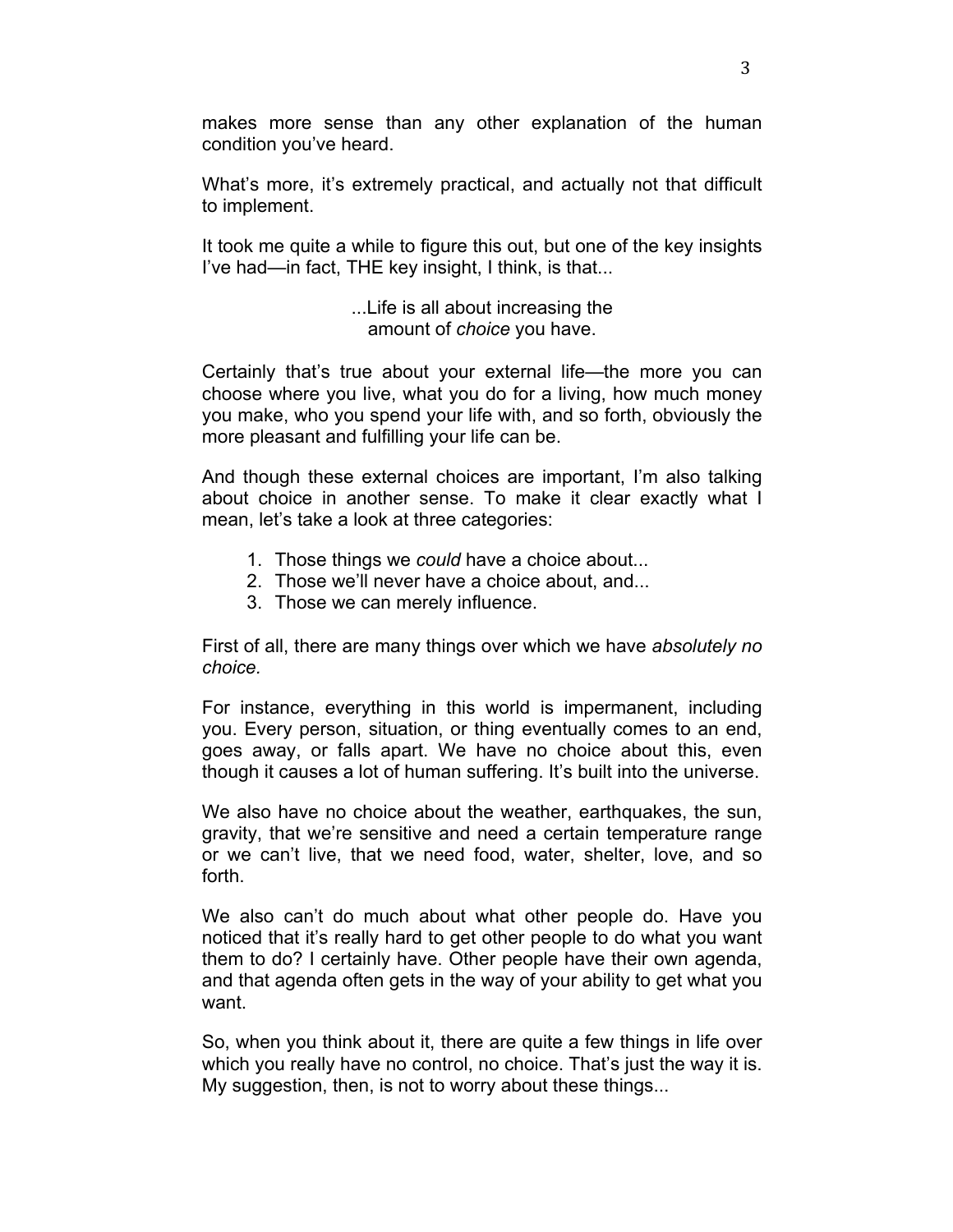makes more sense than any other explanation of the human condition you've heard.

What's more, it's extremely practical, and actually not that difficult to implement.

It took me quite a while to figure this out, but one of the key insights I've had—in fact, THE key insight, I think, is that...

> ...Life is all about increasing the amount of *choice* you have.

Certainly that's true about your external life—the more you can choose where you live, what you do for a living, how much money you make, who you spend your life with, and so forth, obviously the more pleasant and fulfilling your life can be.

And though these external choices are important, I'm also talking about choice in another sense. To make it clear exactly what I mean, let's take a look at three categories:

- 1. Those things we *could* have a choice about...
- 2. Those we'll never have a choice about, and...
- 3. Those we can merely influence.

First of all, there are many things over which we have *absolutely no choice.*

For instance, everything in this world is impermanent, including you. Every person, situation, or thing eventually comes to an end, goes away, or falls apart. We have no choice about this, even though it causes a lot of human suffering. It's built into the universe.

We also have no choice about the weather, earthquakes, the sun, gravity, that we're sensitive and need a certain temperature range or we can't live, that we need food, water, shelter, love, and so forth.

We also can't do much about what other people do. Have you noticed that it's really hard to get other people to do what you want them to do? I certainly have. Other people have their own agenda, and that agenda often gets in the way of your ability to get what you want.

So, when you think about it, there are quite a few things in life over which you really have no control, no choice. That's just the way it is. My suggestion, then, is not to worry about these things...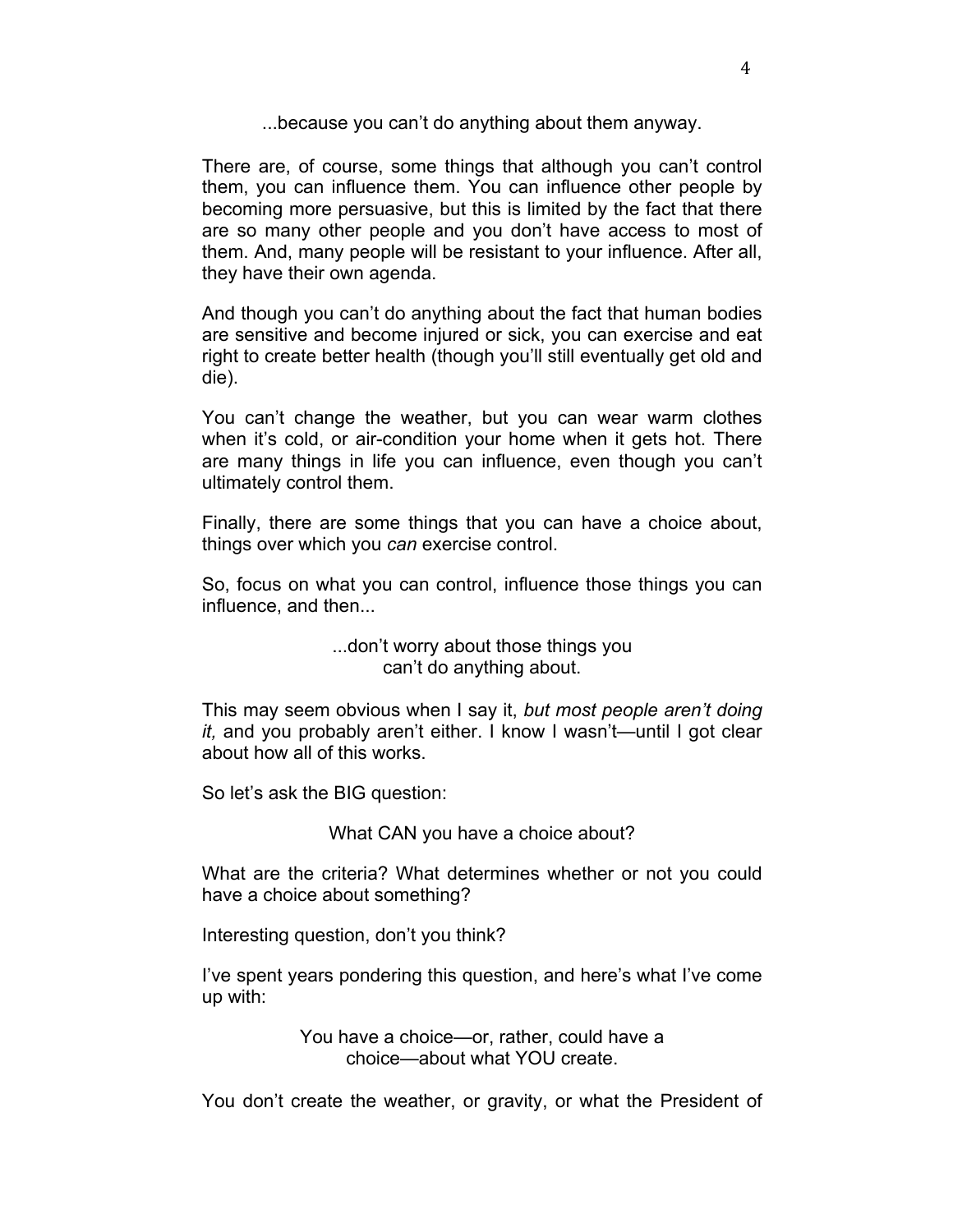...because you can't do anything about them anyway.

There are, of course, some things that although you can't control them, you can influence them. You can influence other people by becoming more persuasive, but this is limited by the fact that there are so many other people and you don't have access to most of them. And, many people will be resistant to your influence. After all, they have their own agenda.

And though you can't do anything about the fact that human bodies are sensitive and become injured or sick, you can exercise and eat right to create better health (though you'll still eventually get old and die).

You can't change the weather, but you can wear warm clothes when it's cold, or air-condition your home when it gets hot. There are many things in life you can influence, even though you can't ultimately control them.

Finally, there are some things that you can have a choice about, things over which you *can* exercise control.

So, focus on what you can control, influence those things you can influence, and then...

> ...don't worry about those things you can't do anything about.

This may seem obvious when I say it, *but most people aren't doing it,* and you probably aren't either. I know I wasn't—until I got clear about how all of this works.

So let's ask the BIG question:

What CAN you have a choice about?

What are the criteria? What determines whether or not you could have a choice about something?

Interesting question, don't you think?

I've spent years pondering this question, and here's what I've come up with:

> You have a choice—or, rather, could have a choice—about what YOU create.

You don't create the weather, or gravity, or what the President of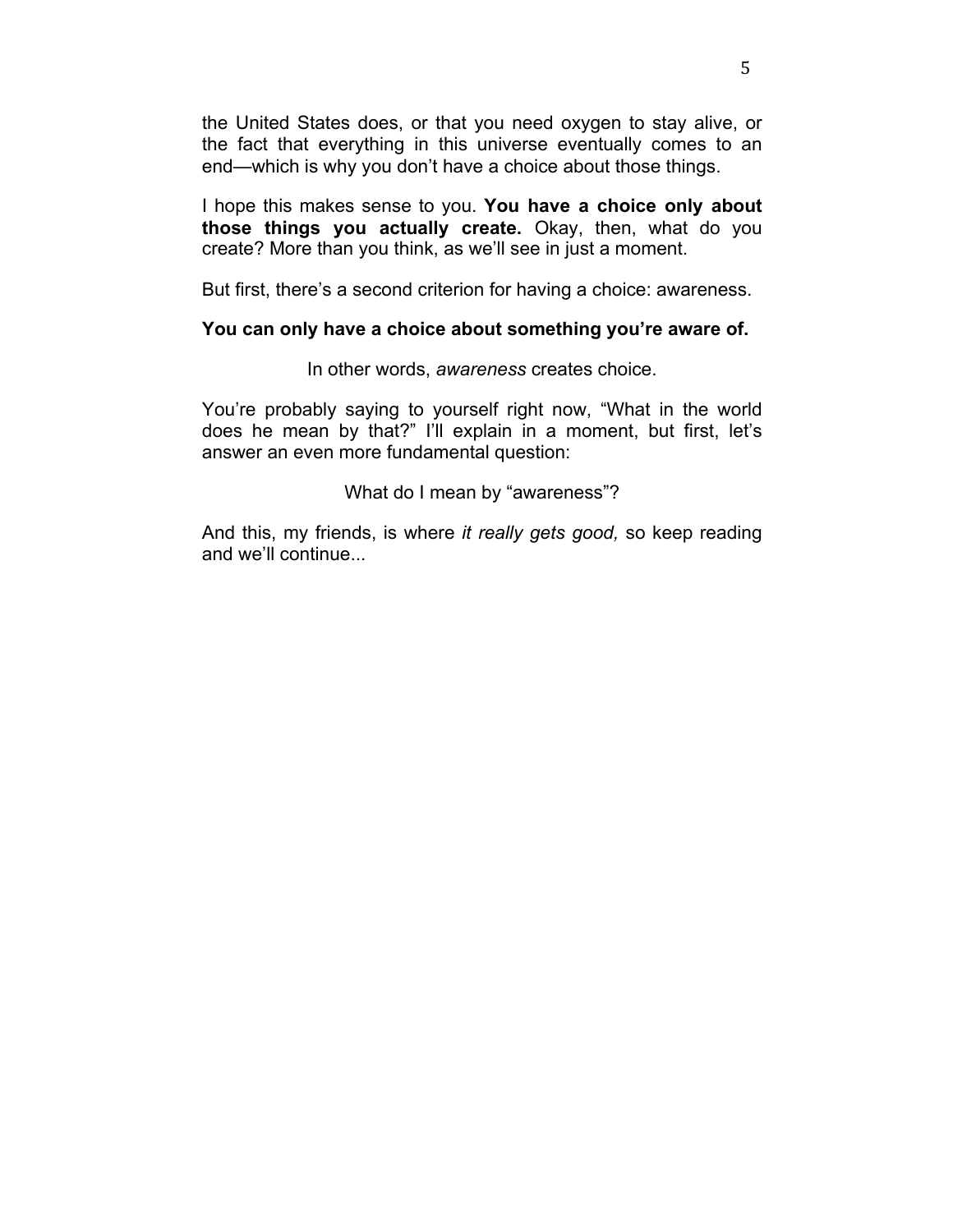the United States does, or that you need oxygen to stay alive, or the fact that everything in this universe eventually comes to an end—which is why you don't have a choice about those things.

I hope this makes sense to you. **You have a choice only about those things you actually create.** Okay, then, what do you create? More than you think, as we'll see in just a moment.

But first, there's a second criterion for having a choice: awareness.

#### **You can only have a choice about something you're aware of.**

In other words, *awareness* creates choice.

You're probably saying to yourself right now, "What in the world does he mean by that?" I'll explain in a moment, but first, let's answer an even more fundamental question:

What do I mean by "awareness"?

And this, my friends, is where *it really gets good,* so keep reading and we'll continue...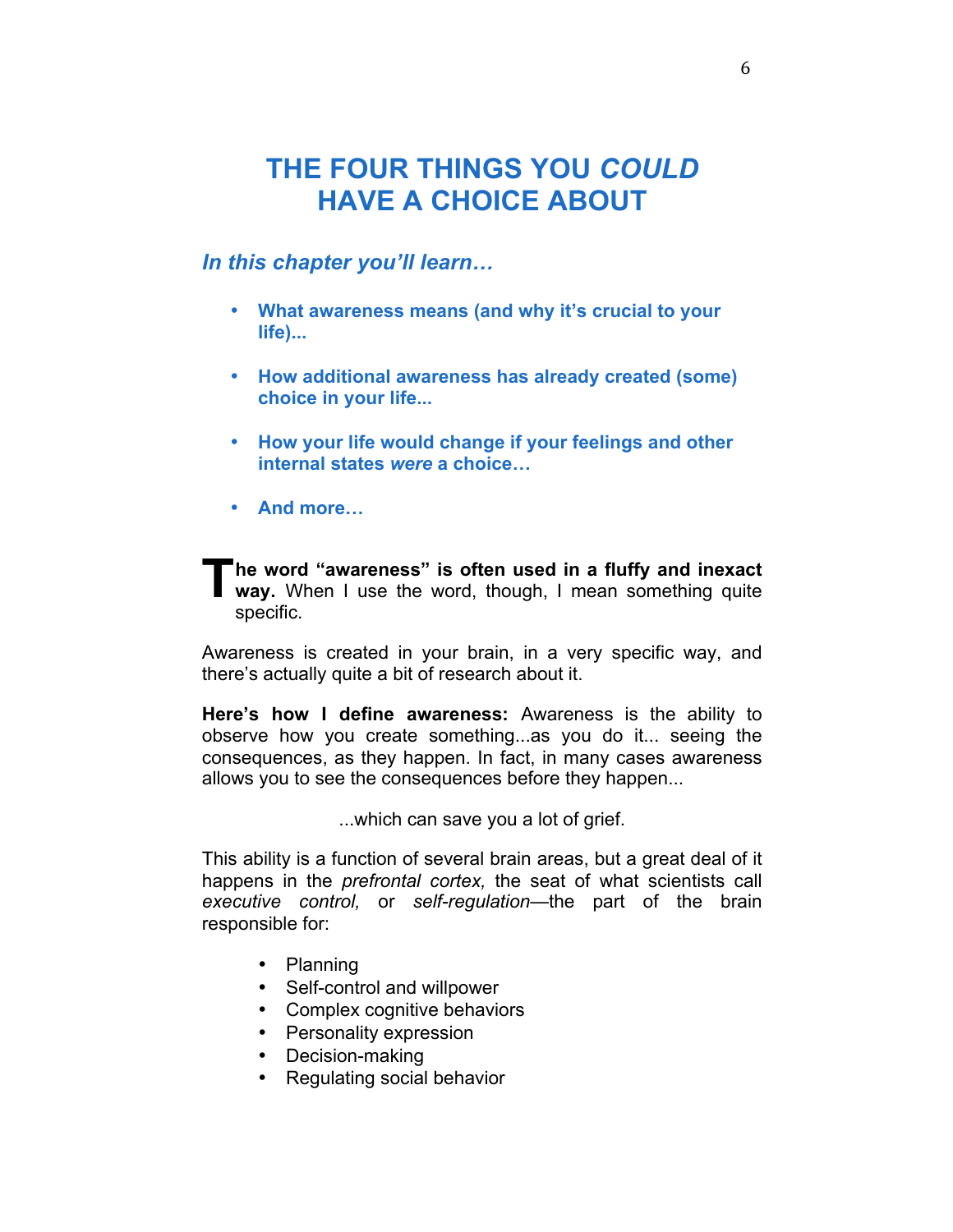### <span id="page-8-0"></span>**THE FOUR THINGS YOU** *COULD* **HAVE A CHOICE ABOUT**

### *In this chapter you'll learn…*

- **What awareness means (and why it's crucial to your life)...**
- **How additional awareness has already created (some) choice in your life...**
- **How your life would change if your feelings and other internal states** *were* **a choice…**
- **And more…**
- **he word "awareness" is often used in a fluffy and inexact**  The word "awareness" is often used in a fluffy and inexact way. When I use the word, though, I mean something quite specific.

Awareness is created in your brain, in a very specific way, and there's actually quite a bit of research about it.

**Here's how I define awareness:** Awareness is the ability to observe how you create something...as you do it... seeing the consequences, as they happen. In fact, in many cases awareness allows you to see the consequences before they happen...

...which can save you a lot of grief.

This ability is a function of several brain areas, but a great deal of it happens in the *prefrontal cortex,* the seat of what scientists call *executive control,* or *self-regulation*—the part of the brain responsible for:

- Planning
- Self-control and willpower
- Complex cognitive behaviors
- Personality expression
- Decision-making
- Regulating social behavior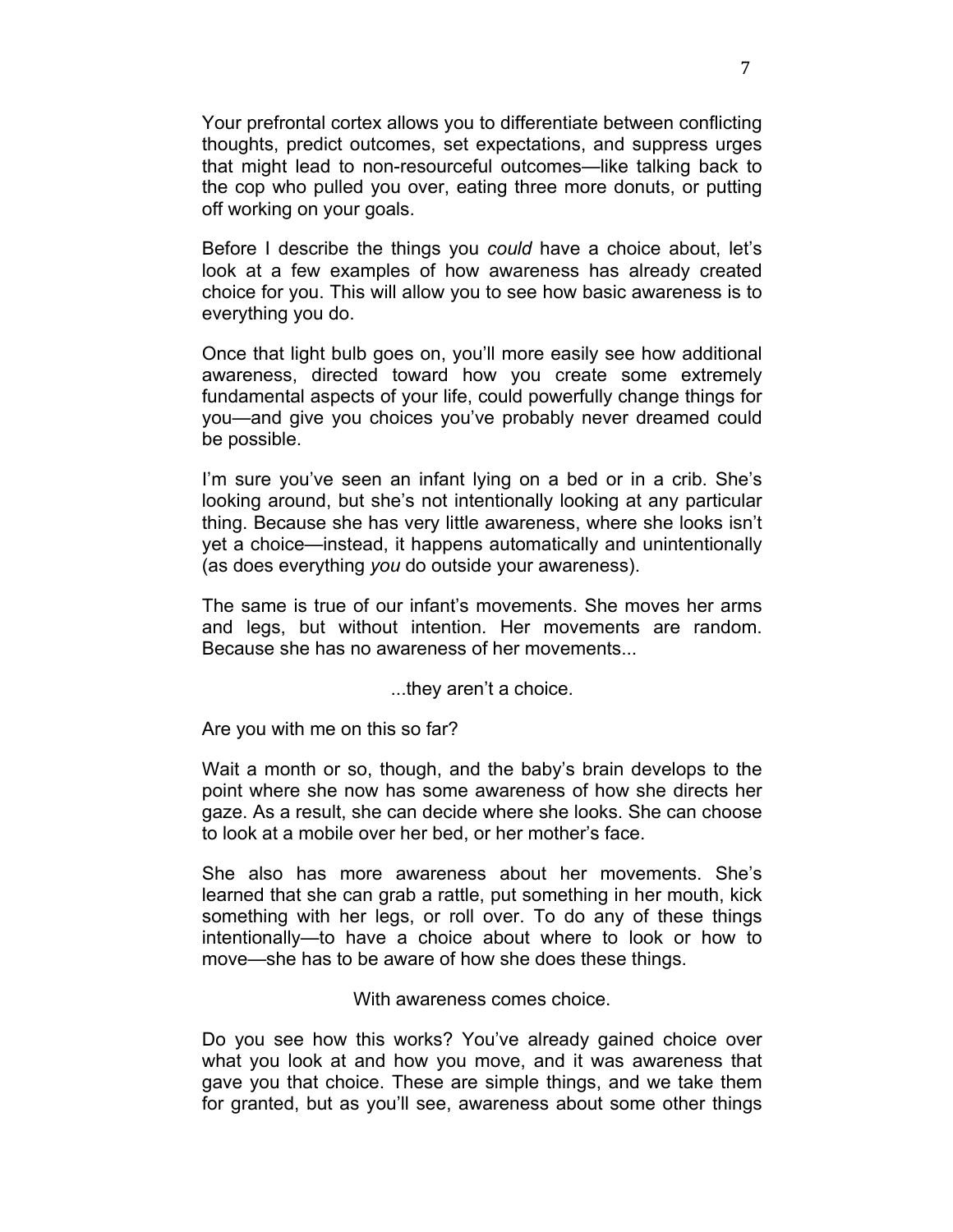Your prefrontal cortex allows you to differentiate between conflicting thoughts, predict outcomes, set expectations, and suppress urges that might lead to non-resourceful outcomes—like talking back to the cop who pulled you over, eating three more donuts, or putting off working on your goals.

Before I describe the things you *could* have a choice about, let's look at a few examples of how awareness has already created choice for you. This will allow you to see how basic awareness is to everything you do.

Once that light bulb goes on, you'll more easily see how additional awareness, directed toward how you create some extremely fundamental aspects of your life, could powerfully change things for you—and give you choices you've probably never dreamed could be possible.

I'm sure you've seen an infant lying on a bed or in a crib. She's looking around, but she's not intentionally looking at any particular thing. Because she has very little awareness, where she looks isn't yet a choice—instead, it happens automatically and unintentionally (as does everything *you* do outside your awareness).

The same is true of our infant's movements. She moves her arms and legs, but without intention. Her movements are random. Because she has no awareness of her movements...

#### ...they aren't a choice.

Are you with me on this so far?

Wait a month or so, though, and the baby's brain develops to the point where she now has some awareness of how she directs her gaze. As a result, she can decide where she looks. She can choose to look at a mobile over her bed, or her mother's face.

She also has more awareness about her movements. She's learned that she can grab a rattle, put something in her mouth, kick something with her legs, or roll over. To do any of these things intentionally—to have a choice about where to look or how to move—she has to be aware of how she does these things.

With awareness comes choice.

Do you see how this works? You've already gained choice over what you look at and how you move, and it was awareness that gave you that choice. These are simple things, and we take them for granted, but as you'll see, awareness about some other things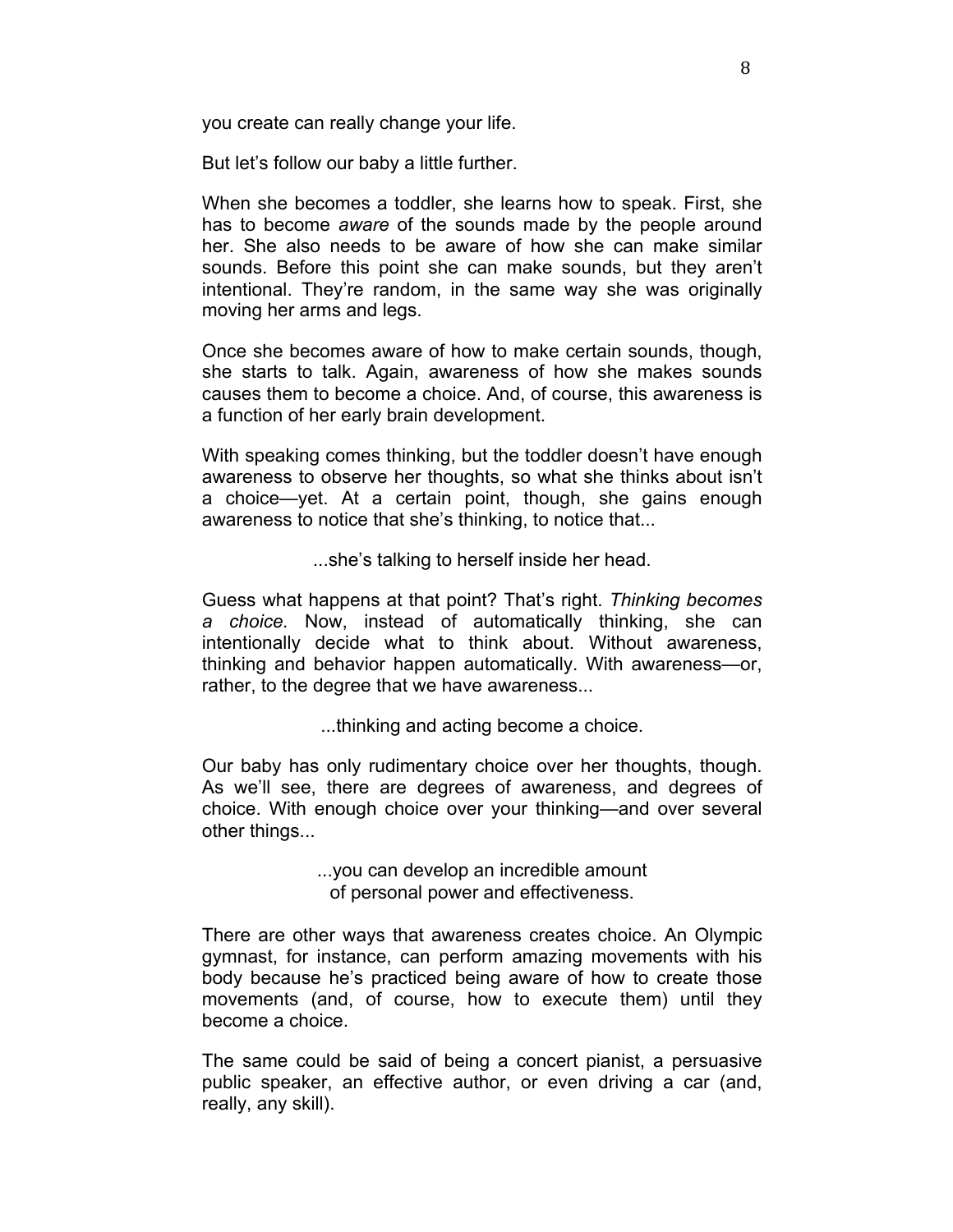you create can really change your life.

But let's follow our baby a little further.

When she becomes a toddler, she learns how to speak. First, she has to become *aware* of the sounds made by the people around her. She also needs to be aware of how she can make similar sounds. Before this point she can make sounds, but they aren't intentional. They're random, in the same way she was originally moving her arms and legs.

Once she becomes aware of how to make certain sounds, though, she starts to talk. Again, awareness of how she makes sounds causes them to become a choice. And, of course, this awareness is a function of her early brain development.

With speaking comes thinking, but the toddler doesn't have enough awareness to observe her thoughts, so what she thinks about isn't a choice—yet. At a certain point, though, she gains enough awareness to notice that she's thinking, to notice that...

...she's talking to herself inside her head.

Guess what happens at that point? That's right. *Thinking becomes a choice.* Now, instead of automatically thinking, she can intentionally decide what to think about. Without awareness, thinking and behavior happen automatically. With awareness—or, rather, to the degree that we have awareness...

...thinking and acting become a choice.

Our baby has only rudimentary choice over her thoughts, though. As we'll see, there are degrees of awareness, and degrees of choice. With enough choice over your thinking—and over several other things...

> ...you can develop an incredible amount of personal power and effectiveness.

There are other ways that awareness creates choice. An Olympic gymnast, for instance, can perform amazing movements with his body because he's practiced being aware of how to create those movements (and, of course, how to execute them) until they become a choice.

The same could be said of being a concert pianist, a persuasive public speaker, an effective author, or even driving a car (and, really, any skill).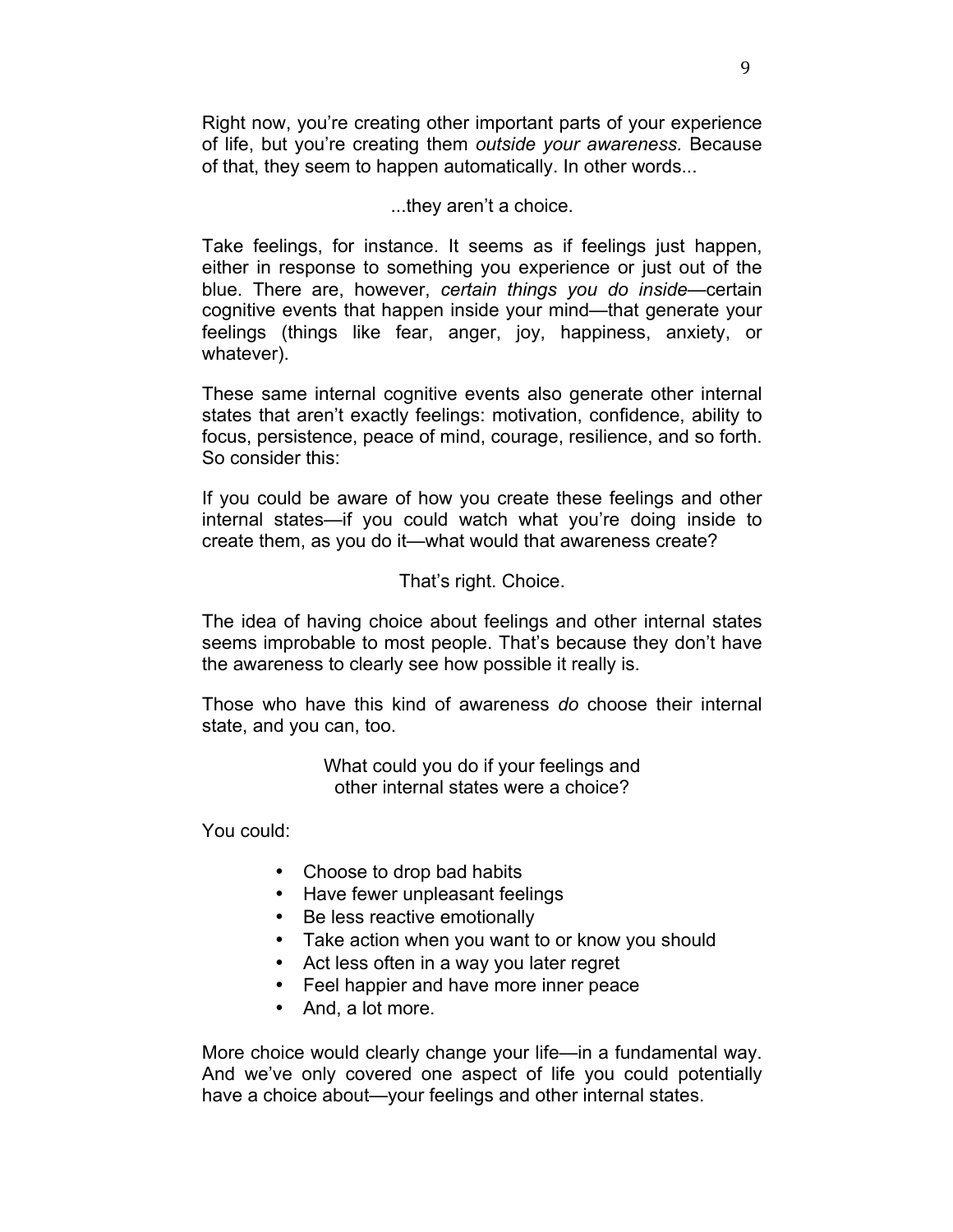Right now, you're creating other important parts of your experience of life, but you're creating them *outside your awareness.* Because of that, they seem to happen automatically. In other words...

#### ...they aren't a choice.

Take feelings, for instance. It seems as if feelings just happen, either in response to something you experience or just out of the blue. There are, however, *certain things you do inside*—certain cognitive events that happen inside your mind—that generate your feelings (things like fear, anger, joy, happiness, anxiety, or whatever).

These same internal cognitive events also generate other internal states that aren't exactly feelings: motivation, confidence, ability to focus, persistence, peace of mind, courage, resilience, and so forth. So consider this:

If you could be aware of how you create these feelings and other internal states—if you could watch what you're doing inside to create them, as you do it—what would that awareness create?

That's right. Choice.

The idea of having choice about feelings and other internal states seems improbable to most people. That's because they don't have the awareness to clearly see how possible it really is.

Those who have this kind of awareness *do* choose their internal state, and you can, too.

> What could you do if your feelings and other internal states were a choice?

You could:

- Choose to drop bad habits
- Have fewer unpleasant feelings
- Be less reactive emotionally
- Take action when you want to or know you should
- Act less often in a way you later regret
- Feel happier and have more inner peace
- And, a lot more.

More choice would clearly change your life—in a fundamental way. And we've only covered one aspect of life you could potentially have a choice about—your feelings and other internal states.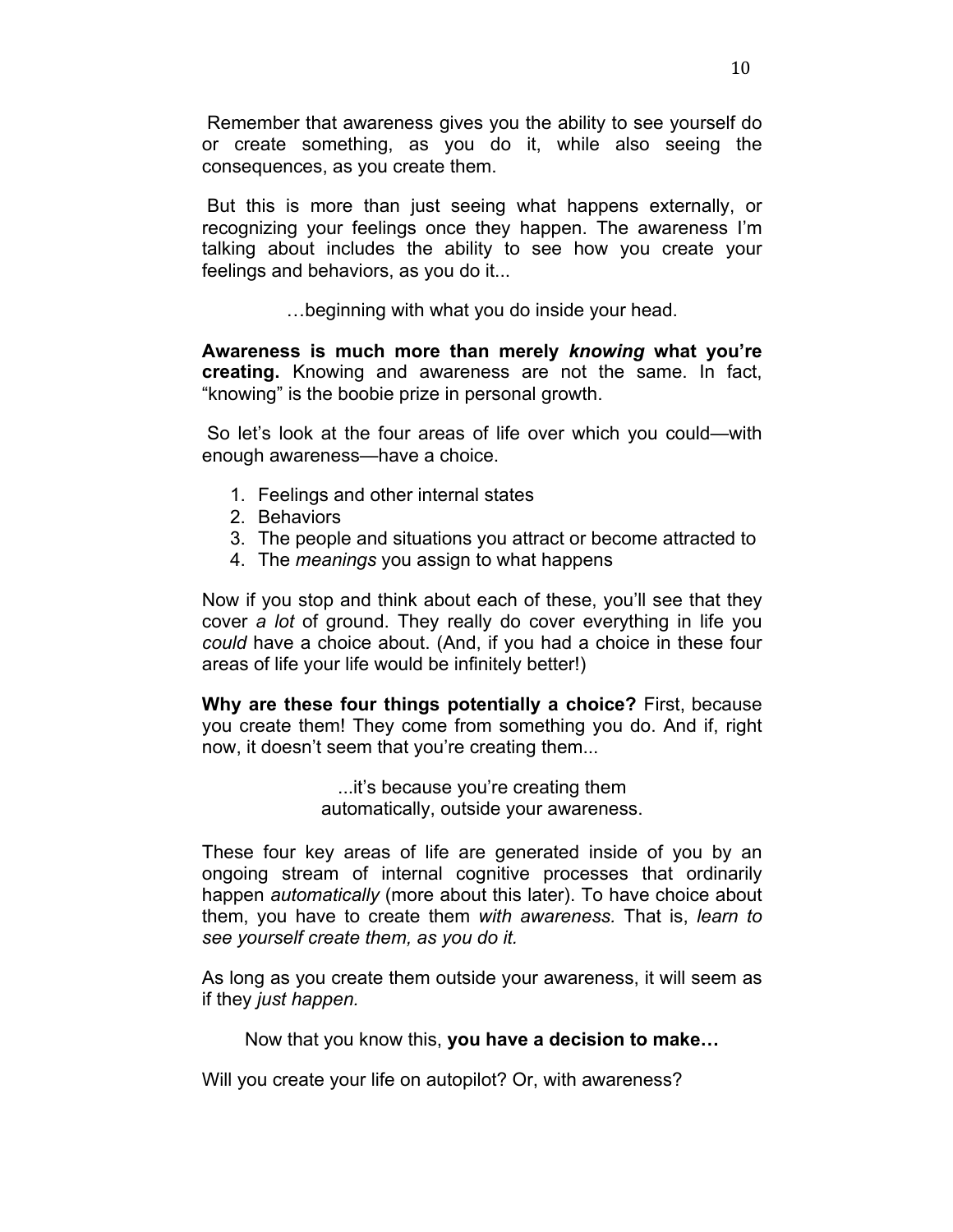Remember that awareness gives you the ability to see yourself do or create something, as you do it, while also seeing the consequences, as you create them.

But this is more than just seeing what happens externally, or recognizing your feelings once they happen. The awareness I'm talking about includes the ability to see how you create your feelings and behaviors, as you do it...

…beginning with what you do inside your head.

**Awareness is much more than merely** *knowing* **what you're creating.** Knowing and awareness are not the same. In fact, "knowing" is the boobie prize in personal growth.

So let's look at the four areas of life over which you could—with enough awareness—have a choice.

- 1. Feelings and other internal states
- 2. Behaviors
- 3. The people and situations you attract or become attracted to
- 4. The *meanings* you assign to what happens

Now if you stop and think about each of these, you'll see that they cover *a lot* of ground. They really do cover everything in life you *could* have a choice about. (And, if you had a choice in these four areas of life your life would be infinitely better!)

**Why are these four things potentially a choice?** First, because you create them! They come from something you do. And if, right now, it doesn't seem that you're creating them...

> ...it's because you're creating them automatically, outside your awareness.

These four key areas of life are generated inside of you by an ongoing stream of internal cognitive processes that ordinarily happen *automatically* (more about this later). To have choice about them, you have to create them *with awareness.* That is, *learn to see yourself create them, as you do it.* 

As long as you create them outside your awareness, it will seem as if they *just happen.* 

Now that you know this, **you have a decision to make…**

Will you create your life on autopilot? Or, with awareness?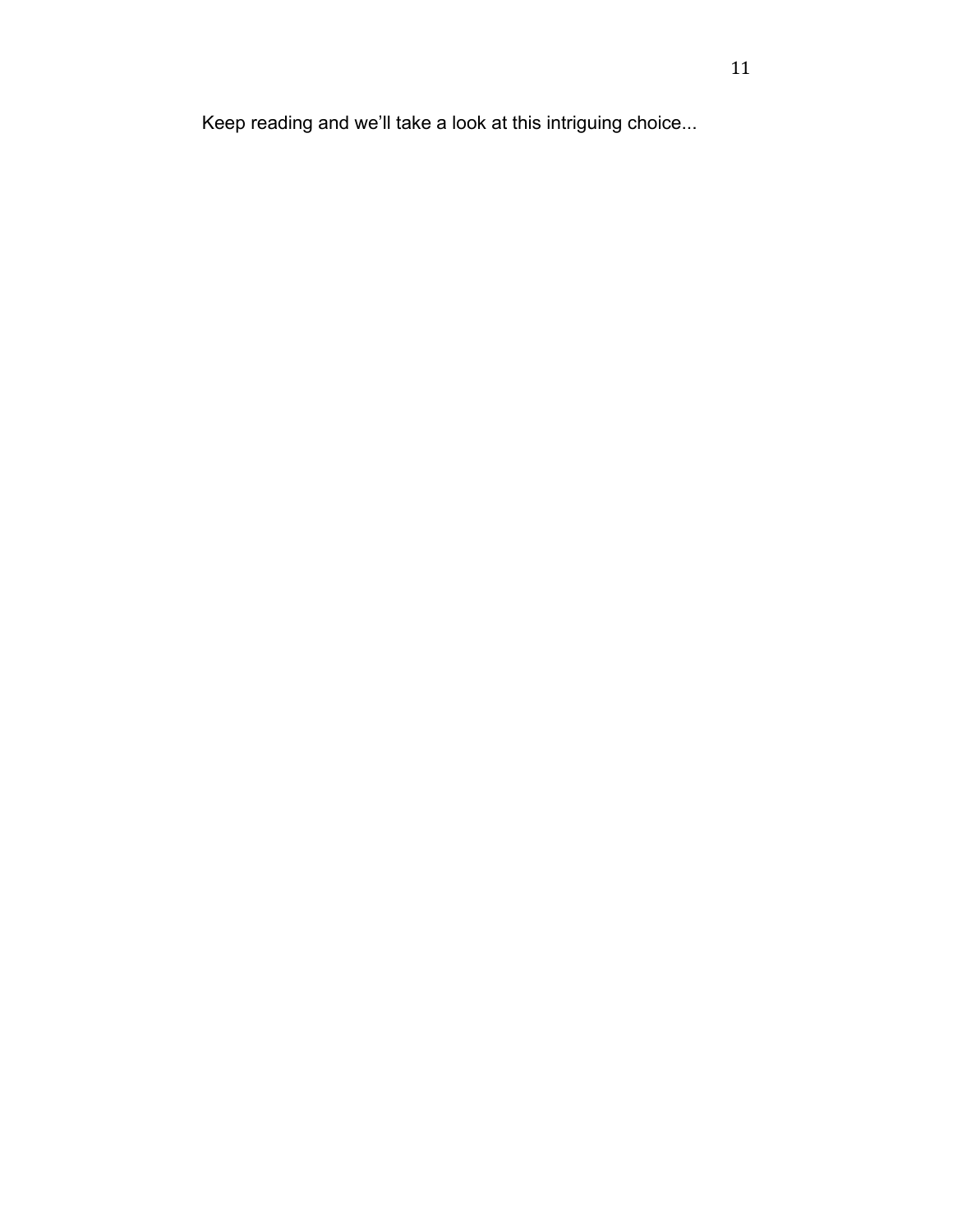Keep reading and we'll take a look at this intriguing choice...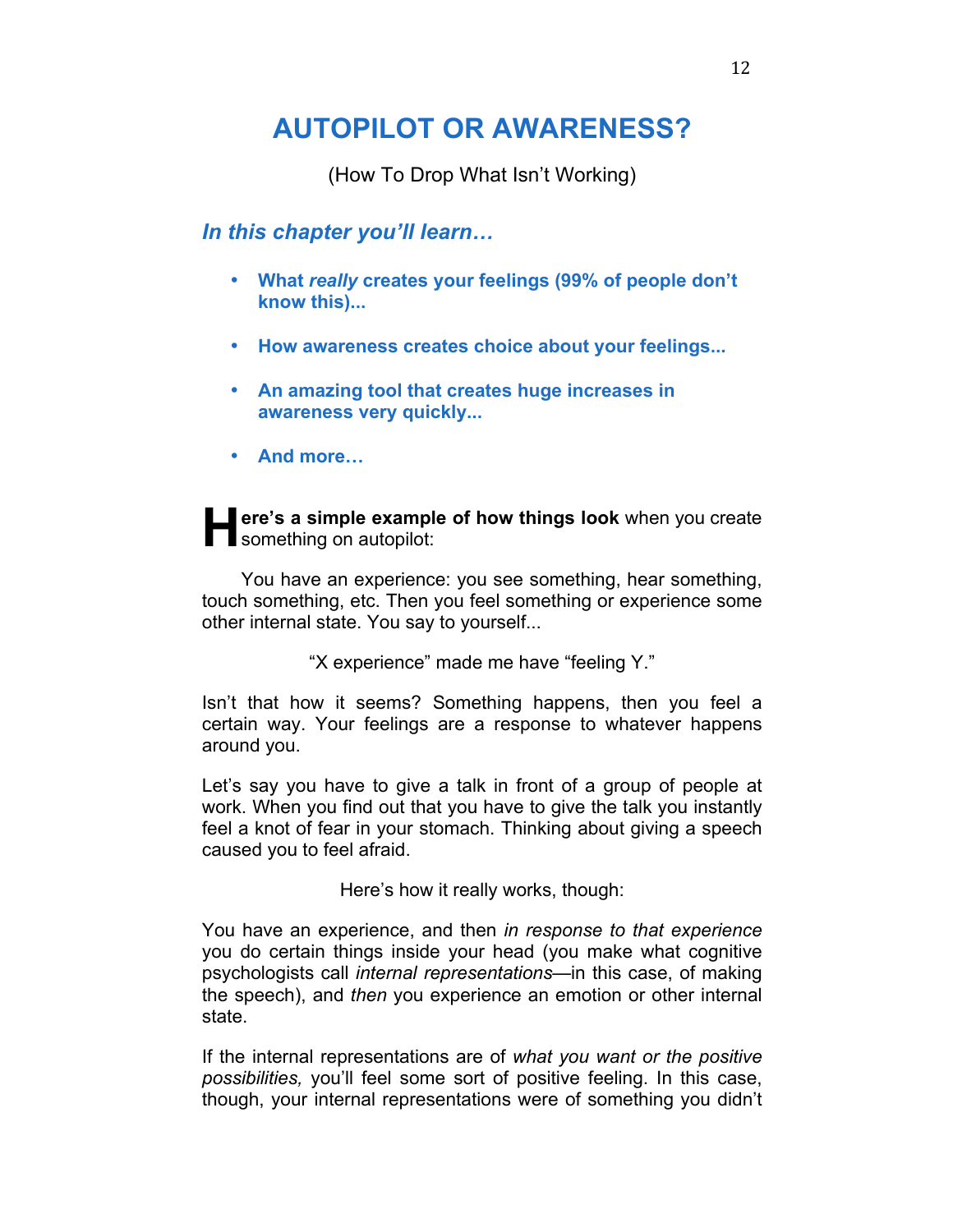### <span id="page-14-0"></span>**AUTOPILOT OR AWARENESS?**

(How To Drop What Isn't Working)

*In this chapter you'll learn…*

- **What** *really* **creates your feelings (99% of people don't know this)...**
- **How awareness creates choice about your feelings...**
- **An amazing tool that creates huge increases in awareness very quickly...**
- **And more…**

**ere's a simple example of how things look** when you create **Here's a simple example something on autopilot:** 

You have an experience: you see something, hear something, touch something, etc. Then you feel something or experience some other internal state. You say to yourself...

"X experience" made me have "feeling Y."

Isn't that how it seems? Something happens, then you feel a certain way. Your feelings are a response to whatever happens around you.

Let's say you have to give a talk in front of a group of people at work. When you find out that you have to give the talk you instantly feel a knot of fear in your stomach. Thinking about giving a speech caused you to feel afraid.

Here's how it really works, though:

You have an experience, and then *in response to that experience*  you do certain things inside your head (you make what cognitive psychologists call *internal representations*—in this case, of making the speech), and *then* you experience an emotion or other internal state.

If the internal representations are of *what you want or the positive possibilities,* you'll feel some sort of positive feeling. In this case, though, your internal representations were of something you didn't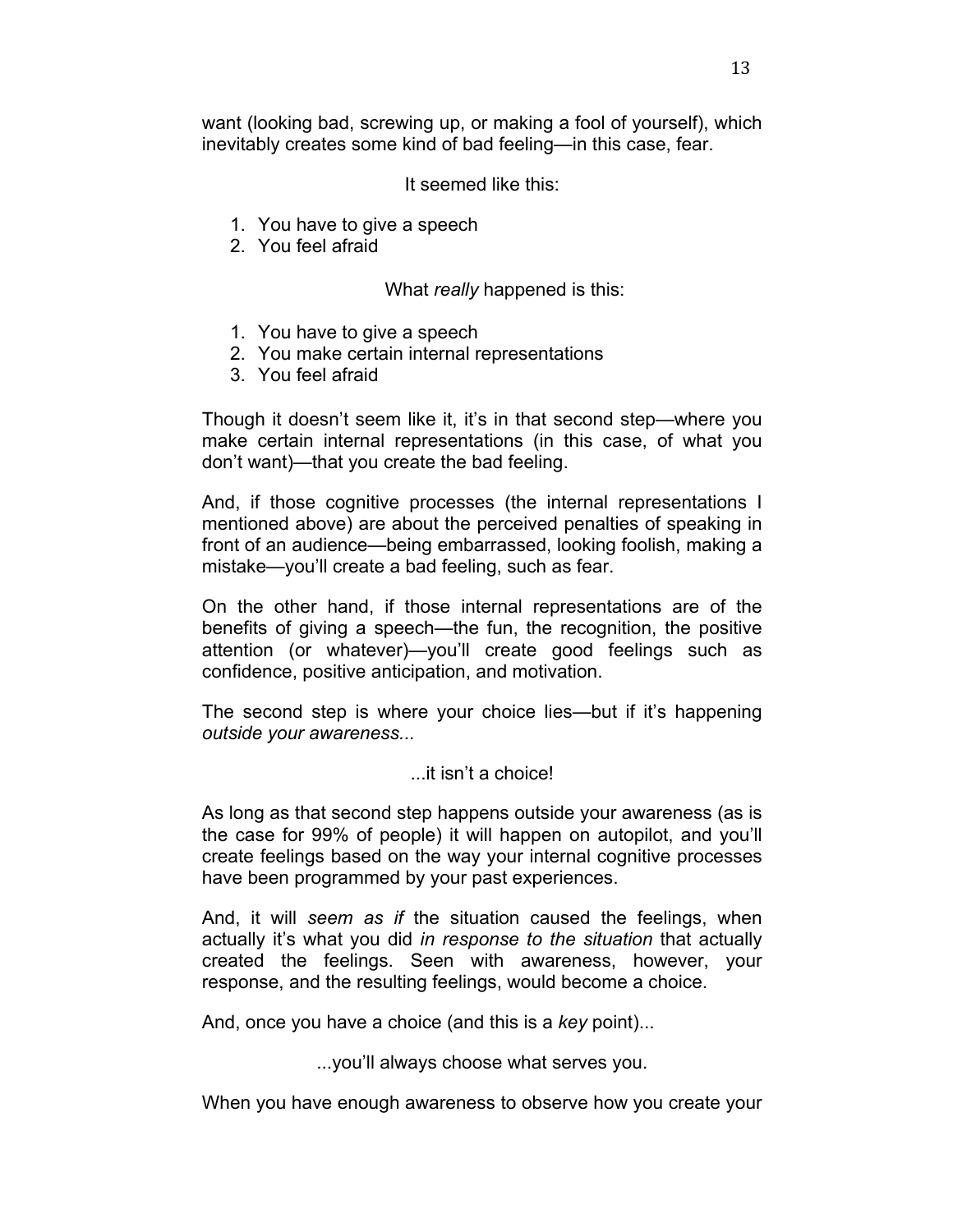want (looking bad, screwing up, or making a fool of yourself), which inevitably creates some kind of bad feeling—in this case, fear.

It seemed like this:

- 1. You have to give a speech
- 2. You feel afraid

What *really* happened is this:

- 1. You have to give a speech
- 2. You make certain internal representations
- 3. You feel afraid

Though it doesn't seem like it, it's in that second step—where you make certain internal representations (in this case, of what you don't want)—that you create the bad feeling.

And, if those cognitive processes (the internal representations I mentioned above) are about the perceived penalties of speaking in front of an audience—being embarrassed, looking foolish, making a mistake—you'll create a bad feeling, such as fear.

On the other hand, if those internal representations are of the benefits of giving a speech—the fun, the recognition, the positive attention (or whatever)—you'll create good feelings such as confidence, positive anticipation, and motivation.

The second step is where your choice lies—but if it's happening *outside your awareness...* 

### ...it isn't a choice!

As long as that second step happens outside your awareness (as is the case for 99% of people) it will happen on autopilot, and you'll create feelings based on the way your internal cognitive processes have been programmed by your past experiences.

And, it will *seem as if* the situation caused the feelings, when actually it's what you did *in response to the situation* that actually created the feelings. Seen with awareness, however, your response, and the resulting feelings, would become a choice.

And, once you have a choice (and this is a *key* point)...

...you'll always choose what serves you.

When you have enough awareness to observe how you create your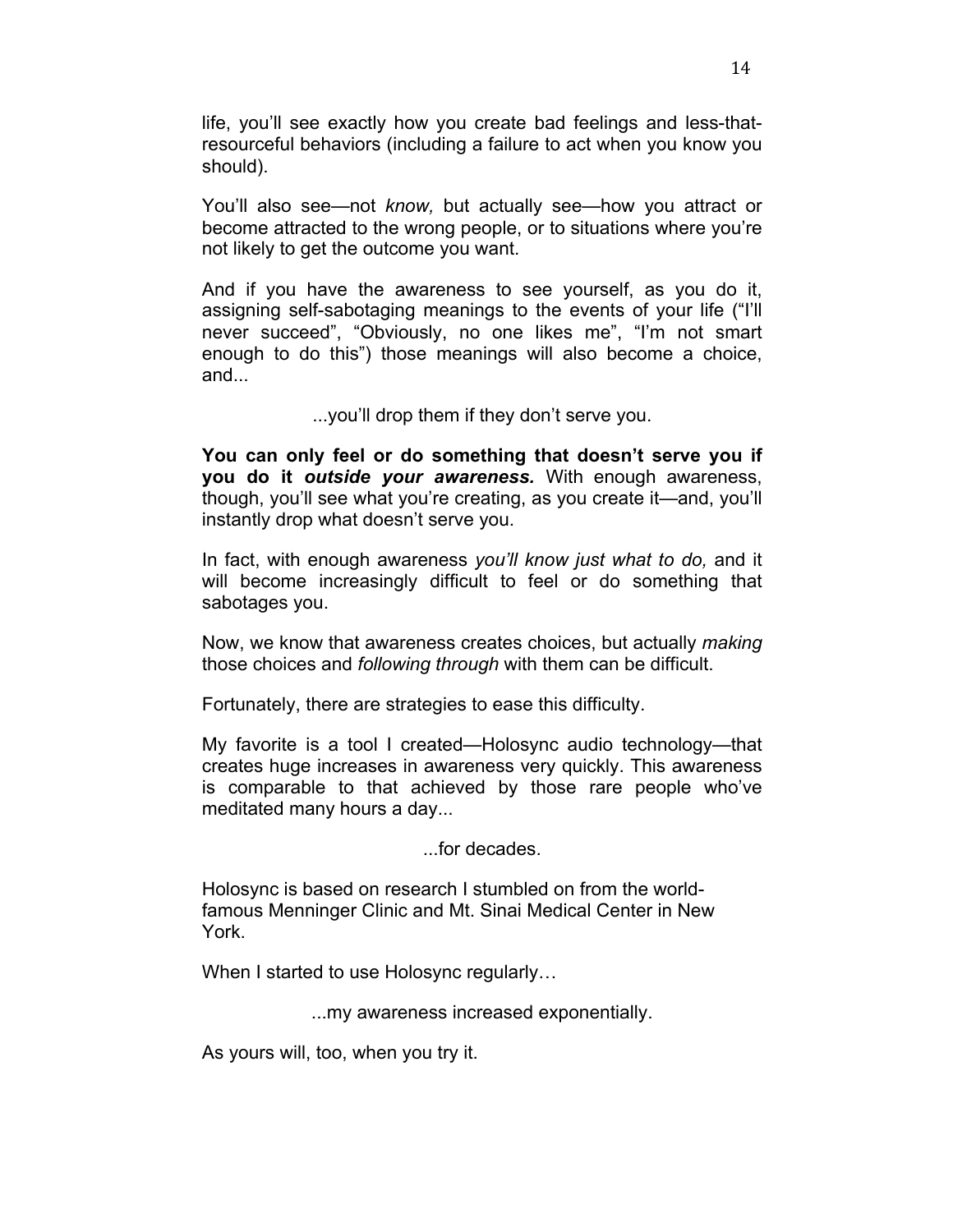life, you'll see exactly how you create bad feelings and less-thatresourceful behaviors (including a failure to act when you know you should).

You'll also see—not *know,* but actually see—how you attract or become attracted to the wrong people, or to situations where you're not likely to get the outcome you want.

And if you have the awareness to see yourself, as you do it, assigning self-sabotaging meanings to the events of your life ("I'll never succeed", "Obviously, no one likes me", "I'm not smart enough to do this") those meanings will also become a choice, and...

...you'll drop them if they don't serve you.

**You can only feel or do something that doesn't serve you if you do it** *outside your awareness.* With enough awareness, though, you'll see what you're creating, as you create it—and, you'll instantly drop what doesn't serve you.

In fact, with enough awareness *you'll know just what to do,* and it will become increasingly difficult to feel or do something that sabotages you.

Now, we know that awareness creates choices, but actually *making* those choices and *following through* with them can be difficult.

Fortunately, there are strategies to ease this difficulty.

My favorite is a tool I created—Holosync audio technology—that creates huge increases in awareness very quickly. This awareness is comparable to that achieved by those rare people who've meditated many hours a day...

...for decades.

Holosync is based on research I stumbled on from the worldfamous Menninger Clinic and Mt. Sinai Medical Center in New York.

When I started to use Holosync regularly…

...my awareness increased exponentially.

As yours will, too, when you try it.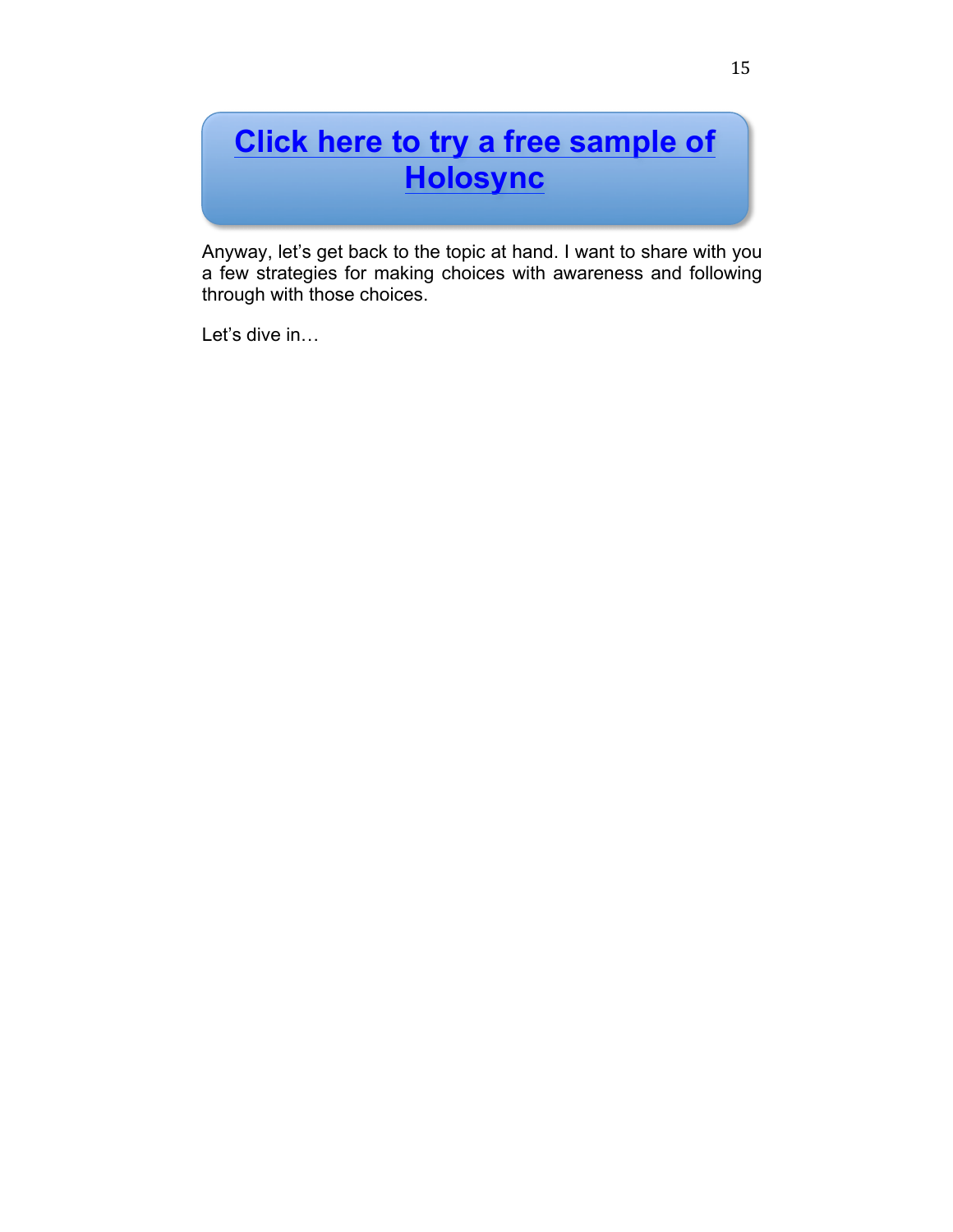### **[Click here to try a free sample of](http://challenge.centerpointe.com/you-wealth-revolution-sign-up/)  [Holosync](http://challenge.centerpointe.com/you-wealth-revolution-sign-up/)**

Anyway, let's get back to the topic at hand. I want to share with you a few strategies for making choices with awareness and following through with those choices.

Let's dive in…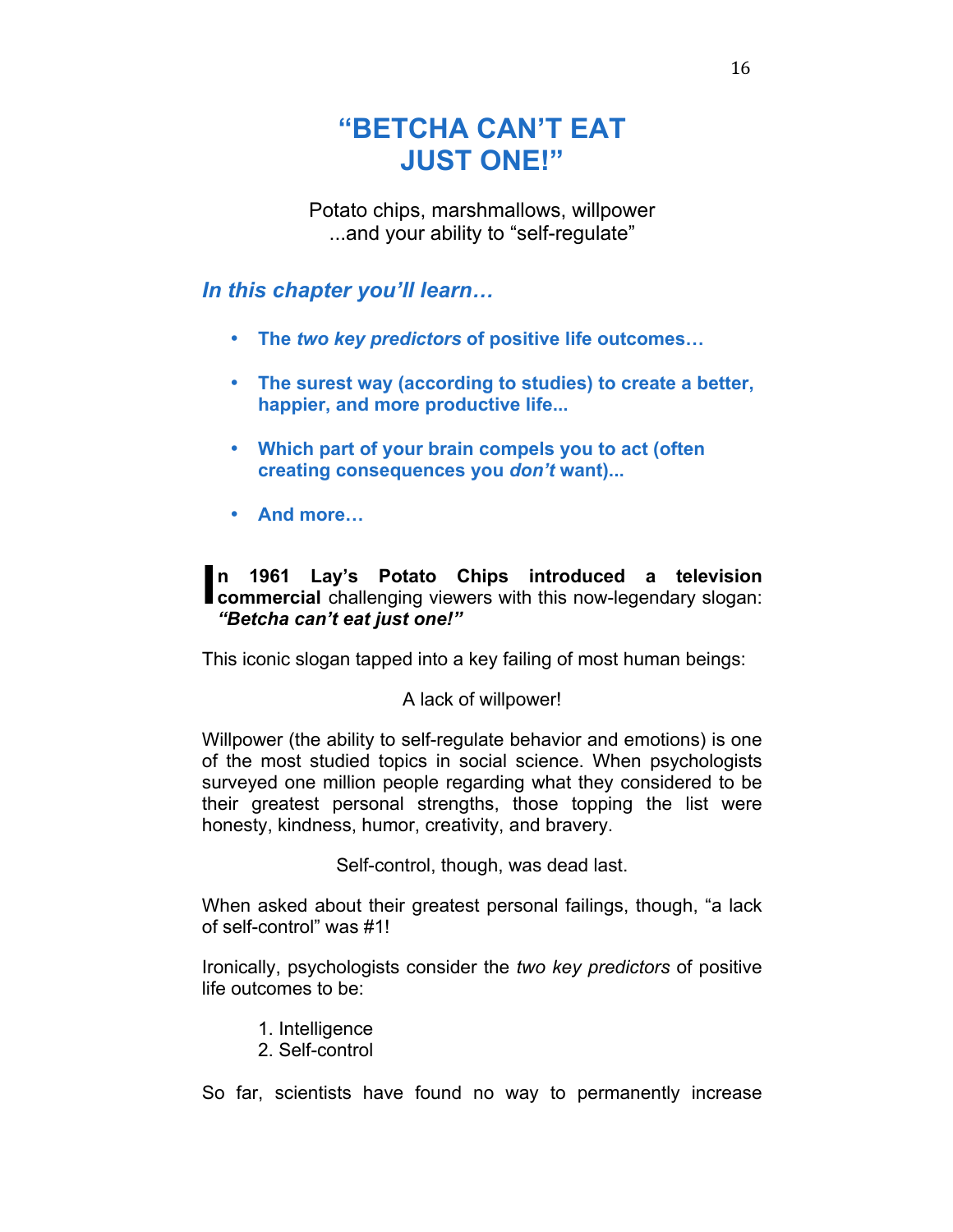### <span id="page-18-0"></span>**"BETCHA CAN'T EAT JUST ONE!"**

Potato chips, marshmallows, willpower ...and your ability to "self-regulate"

### *In this chapter you'll learn…*

- **The** *two key predictors* **of positive life outcomes…**
- **The surest way (according to studies) to create a better, happier, and more productive life...**
- **Which part of your brain compels you to act (often creating consequences you** *don't* **want)...**
- **And more…**

**n 1961 Lay's Potato Chips introduced a television commercial challenging viewers with this now-legendary slogan: Commercial challenging viewers with this now-legendary slogan:** *"Betcha can't eat just one!"* 

This iconic slogan tapped into a key failing of most human beings:

### A lack of willpower!

Willpower (the ability to self-regulate behavior and emotions) is one of the most studied topics in social science. When psychologists surveyed one million people regarding what they considered to be their greatest personal strengths, those topping the list were honesty, kindness, humor, creativity, and bravery.

Self-control, though, was dead last.

When asked about their greatest personal failings, though, "a lack of self-control" was #1!

Ironically, psychologists consider the *two key predictors* of positive life outcomes to be:

- 1. Intelligence
- 2. Self-control

So far, scientists have found no way to permanently increase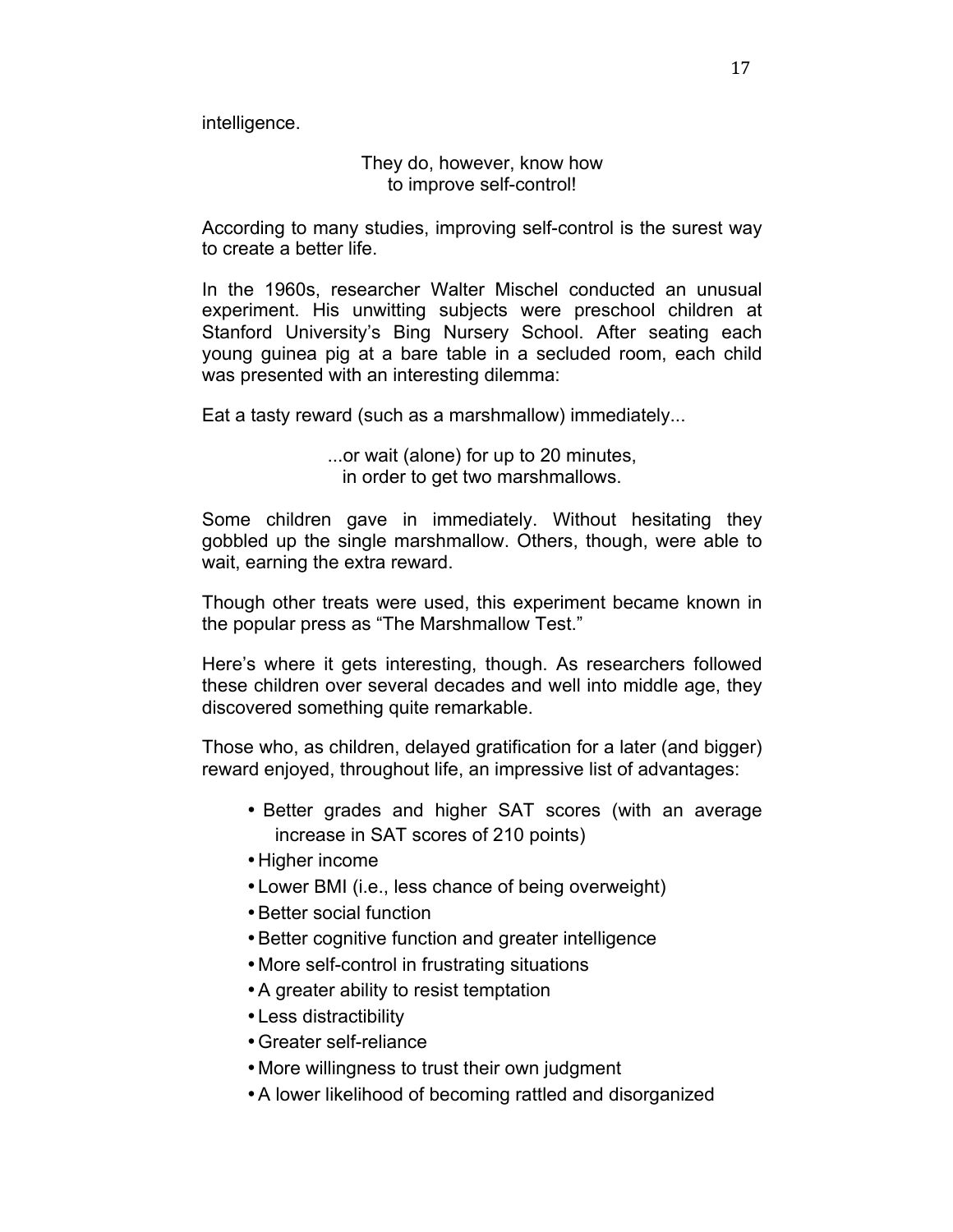intelligence.

#### They do, however, know how to improve self-control!

According to many studies, improving self-control is the surest way to create a better life.

In the 1960s, researcher Walter Mischel conducted an unusual experiment. His unwitting subjects were preschool children at Stanford University's Bing Nursery School. After seating each young guinea pig at a bare table in a secluded room, each child was presented with an interesting dilemma:

Eat a tasty reward (such as a marshmallow) immediately...

...or wait (alone) for up to 20 minutes, in order to get two marshmallows.

Some children gave in immediately. Without hesitating they gobbled up the single marshmallow. Others, though, were able to wait, earning the extra reward.

Though other treats were used, this experiment became known in the popular press as "The Marshmallow Test."

Here's where it gets interesting, though. As researchers followed these children over several decades and well into middle age, they discovered something quite remarkable.

Those who, as children, delayed gratification for a later (and bigger) reward enjoyed, throughout life, an impressive list of advantages:

- Better grades and higher SAT scores (with an average increase in SAT scores of 210 points)
- •Higher income
- •Lower BMI (i.e., less chance of being overweight)
- •Better social function
- •Better cognitive function and greater intelligence
- •More self-control in frustrating situations
- •A greater ability to resist temptation
- •Less distractibility
- •Greater self-reliance
- •More willingness to trust their own judgment
- •A lower likelihood of becoming rattled and disorganized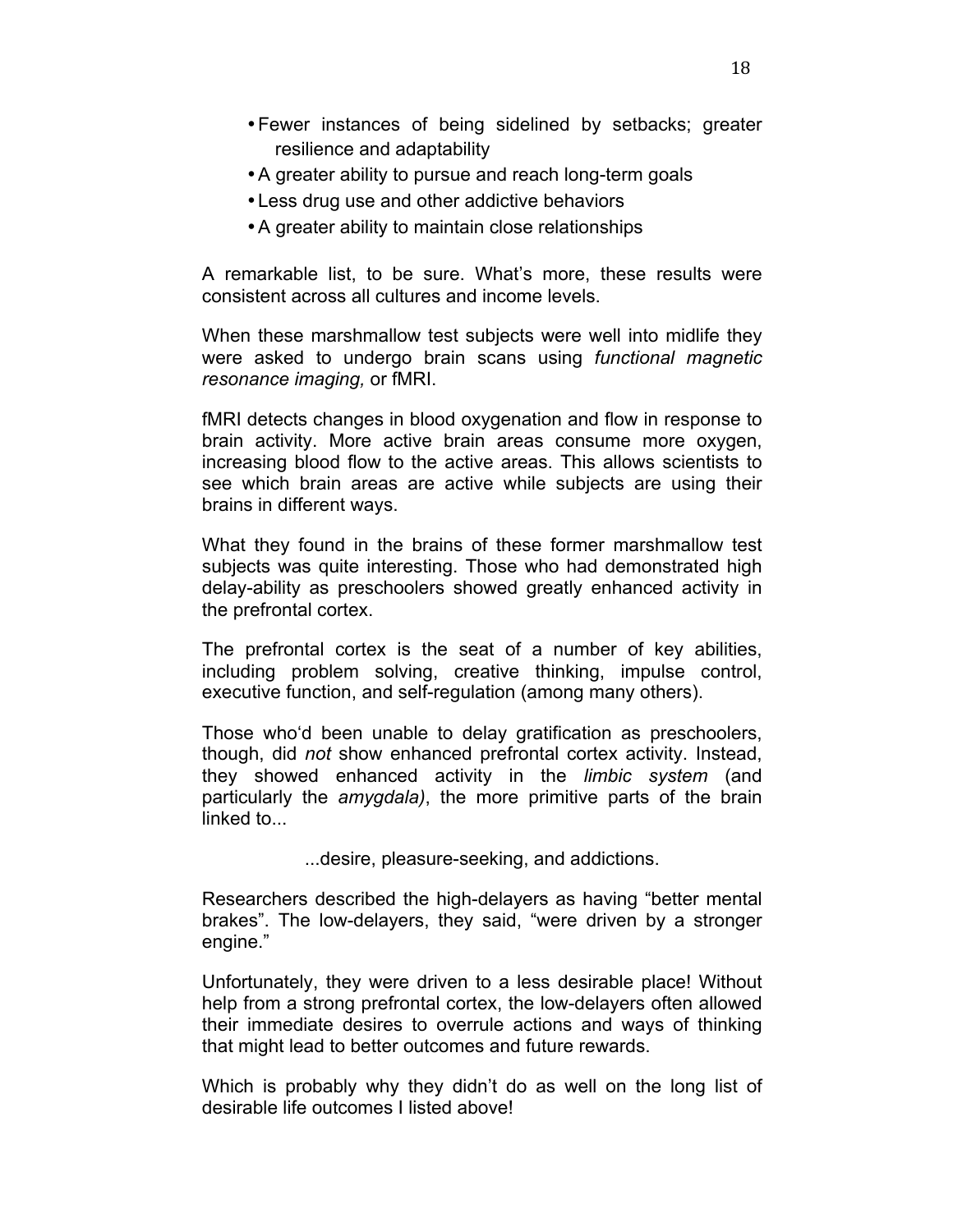- •Fewer instances of being sidelined by setbacks; greater resilience and adaptability
- •A greater ability to pursue and reach long-term goals
- •Less drug use and other addictive behaviors
- •A greater ability to maintain close relationships

A remarkable list, to be sure. What's more, these results were consistent across all cultures and income levels.

When these marshmallow test subjects were well into midlife they were asked to undergo brain scans using *functional magnetic resonance imaging,* or fMRI.

fMRI detects changes in blood oxygenation and flow in response to brain activity. More active brain areas consume more oxygen, increasing blood flow to the active areas. This allows scientists to see which brain areas are active while subjects are using their brains in different ways.

What they found in the brains of these former marshmallow test subjects was quite interesting. Those who had demonstrated high delay-ability as preschoolers showed greatly enhanced activity in the prefrontal cortex.

The prefrontal cortex is the seat of a number of key abilities, including problem solving, creative thinking, impulse control, executive function, and self-regulation (among many others).

Those who'd been unable to delay gratification as preschoolers, though, did *not* show enhanced prefrontal cortex activity. Instead, they showed enhanced activity in the *limbic system* (and particularly the *amygdala)*, the more primitive parts of the brain linked to...

...desire, pleasure-seeking, and addictions.

Researchers described the high-delayers as having "better mental brakes". The low-delayers, they said, "were driven by a stronger engine."

Unfortunately, they were driven to a less desirable place! Without help from a strong prefrontal cortex, the low-delayers often allowed their immediate desires to overrule actions and ways of thinking that might lead to better outcomes and future rewards.

Which is probably why they didn't do as well on the long list of desirable life outcomes I listed above!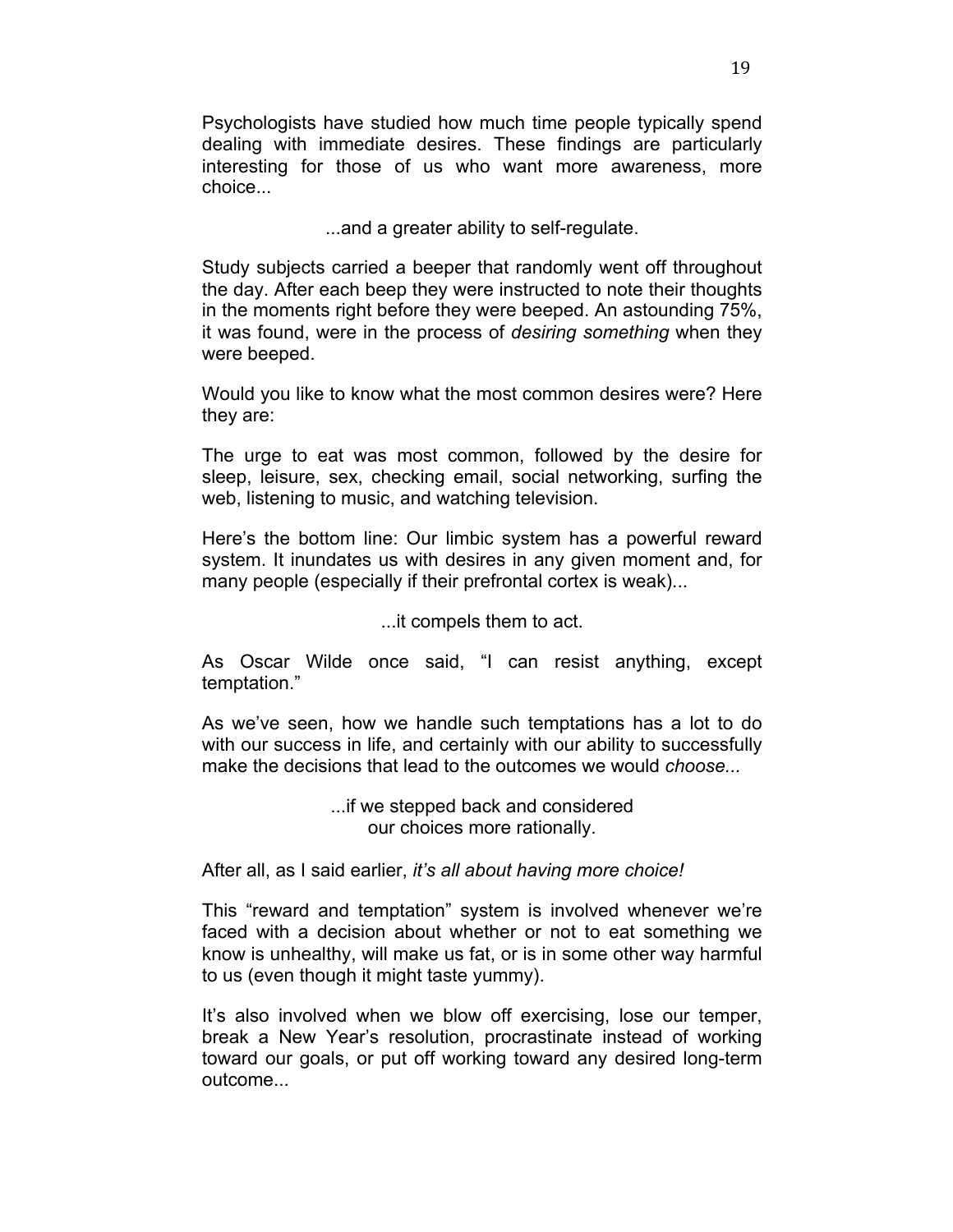Psychologists have studied how much time people typically spend dealing with immediate desires. These findings are particularly interesting for those of us who want more awareness, more choice...

...and a greater ability to self-regulate.

Study subjects carried a beeper that randomly went off throughout the day. After each beep they were instructed to note their thoughts in the moments right before they were beeped. An astounding 75%, it was found, were in the process of *desiring something* when they were beeped.

Would you like to know what the most common desires were? Here they are:

The urge to eat was most common, followed by the desire for sleep, leisure, sex, checking email, social networking, surfing the web, listening to music, and watching television.

Here's the bottom line: Our limbic system has a powerful reward system. It inundates us with desires in any given moment and, for many people (especially if their prefrontal cortex is weak)...

...it compels them to act.

As Oscar Wilde once said, "I can resist anything, except temptation."

As we've seen, how we handle such temptations has a lot to do with our success in life, and certainly with our ability to successfully make the decisions that lead to the outcomes we would *choose...* 

> ...if we stepped back and considered our choices more rationally.

After all, as I said earlier, *it's all about having more choice!* 

This "reward and temptation" system is involved whenever we're faced with a decision about whether or not to eat something we know is unhealthy, will make us fat, or is in some other way harmful to us (even though it might taste yummy).

It's also involved when we blow off exercising, lose our temper, break a New Year's resolution, procrastinate instead of working toward our goals, or put off working toward any desired long-term outcome...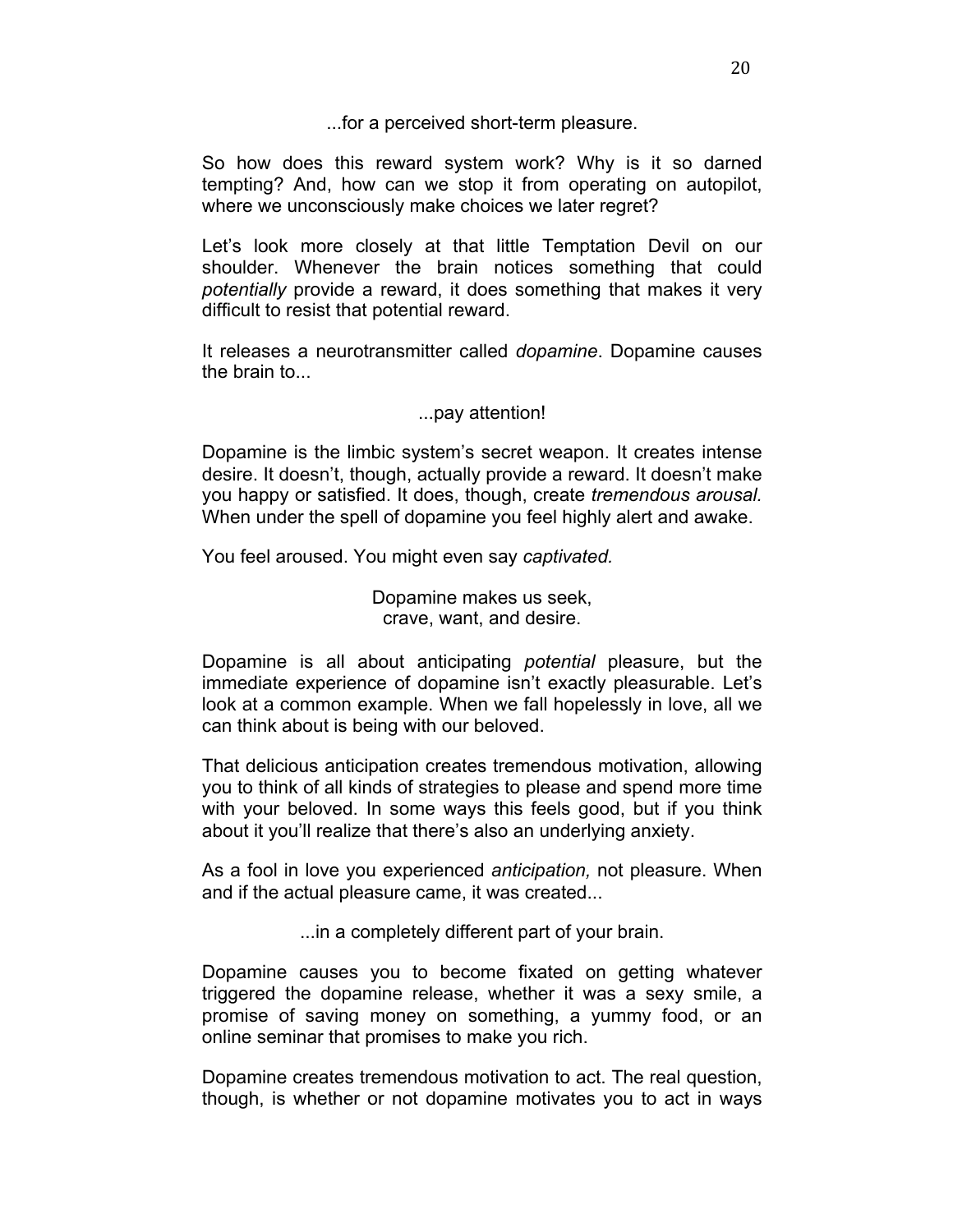#### ...for a perceived short-term pleasure.

So how does this reward system work? Why is it so darned tempting? And, how can we stop it from operating on autopilot, where we unconsciously make choices we later regret?

Let's look more closely at that little Temptation Devil on our shoulder. Whenever the brain notices something that could *potentially* provide a reward, it does something that makes it very difficult to resist that potential reward.

It releases a neurotransmitter called *dopamine*. Dopamine causes the brain to...

#### ...pay attention!

Dopamine is the limbic system's secret weapon. It creates intense desire. It doesn't, though, actually provide a reward. It doesn't make you happy or satisfied. It does, though, create *tremendous arousal.*  When under the spell of dopamine you feel highly alert and awake.

You feel aroused. You might even say *captivated.*

Dopamine makes us seek, crave, want, and desire.

Dopamine is all about anticipating *potential* pleasure, but the immediate experience of dopamine isn't exactly pleasurable. Let's look at a common example. When we fall hopelessly in love, all we can think about is being with our beloved.

That delicious anticipation creates tremendous motivation, allowing you to think of all kinds of strategies to please and spend more time with your beloved. In some ways this feels good, but if you think about it you'll realize that there's also an underlying anxiety.

As a fool in love you experienced *anticipation,* not pleasure. When and if the actual pleasure came, it was created...

...in a completely different part of your brain.

Dopamine causes you to become fixated on getting whatever triggered the dopamine release, whether it was a sexy smile, a promise of saving money on something, a yummy food, or an online seminar that promises to make you rich.

Dopamine creates tremendous motivation to act. The real question, though, is whether or not dopamine motivates you to act in ways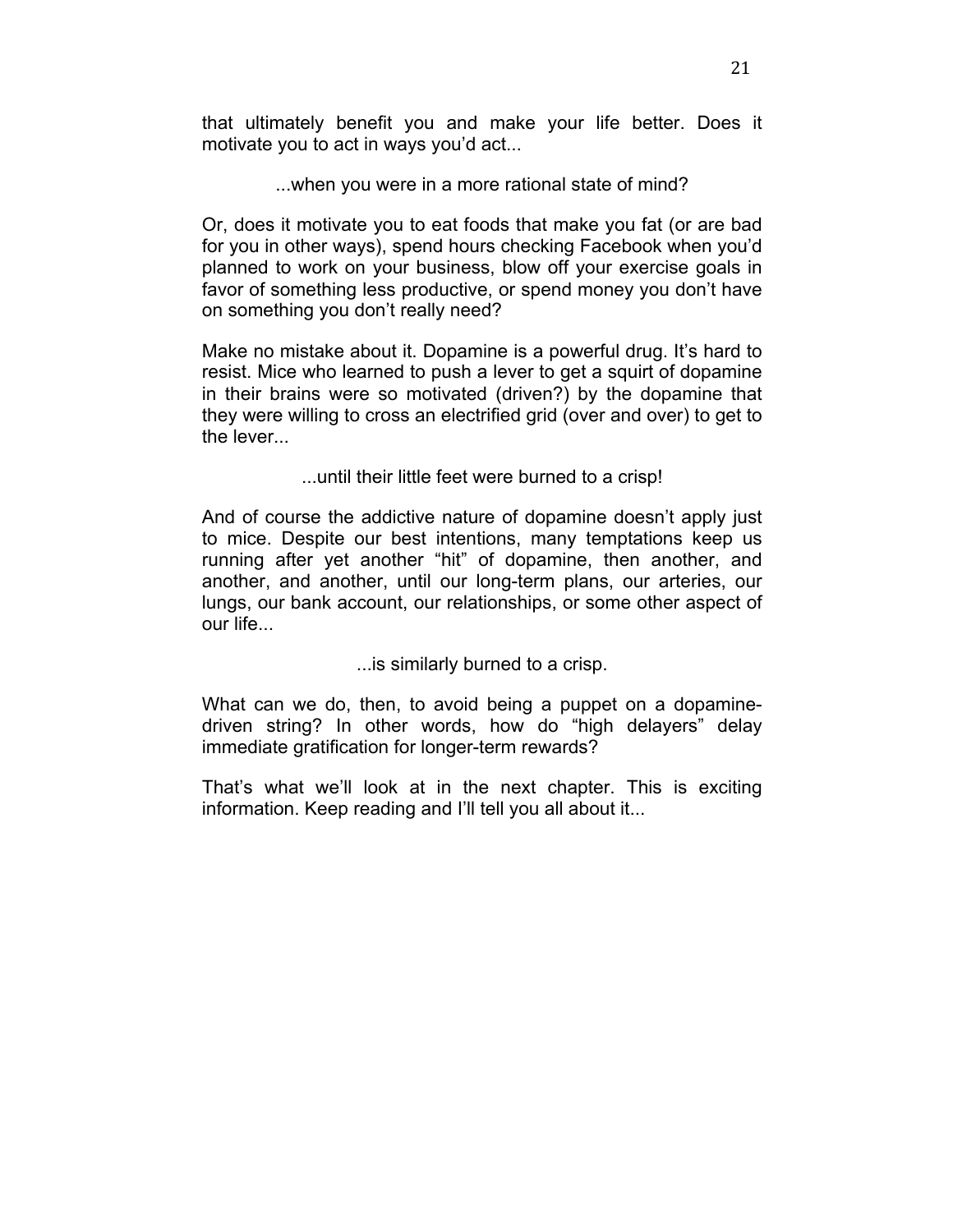that ultimately benefit you and make your life better. Does it motivate you to act in ways you'd act...

#### ...when you were in a more rational state of mind?

Or, does it motivate you to eat foods that make you fat (or are bad for you in other ways), spend hours checking Facebook when you'd planned to work on your business, blow off your exercise goals in favor of something less productive, or spend money you don't have on something you don't really need?

Make no mistake about it. Dopamine is a powerful drug. It's hard to resist. Mice who learned to push a lever to get a squirt of dopamine in their brains were so motivated (driven?) by the dopamine that they were willing to cross an electrified grid (over and over) to get to the lever...

...until their little feet were burned to a crisp!

And of course the addictive nature of dopamine doesn't apply just to mice. Despite our best intentions, many temptations keep us running after yet another "hit" of dopamine, then another, and another, and another, until our long-term plans, our arteries, our lungs, our bank account, our relationships, or some other aspect of our life...

...is similarly burned to a crisp.

What can we do, then, to avoid being a puppet on a dopaminedriven string? In other words, how do "high delayers" delay immediate gratification for longer-term rewards?

That's what we'll look at in the next chapter. This is exciting information. Keep reading and I'll tell you all about it...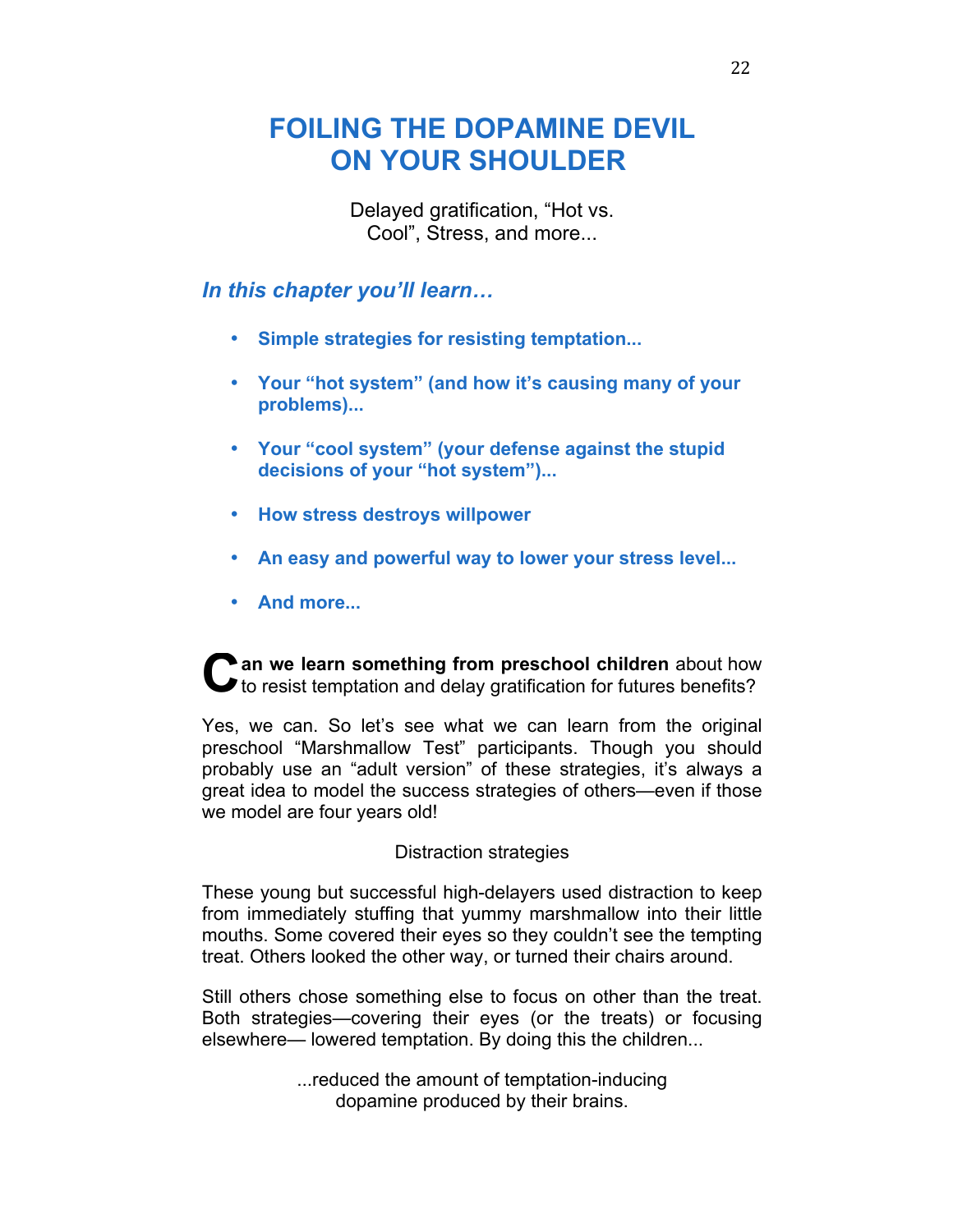### <span id="page-24-0"></span>**FOILING THE DOPAMINE DEVIL ON YOUR SHOULDER**

Delayed gratification, "Hot vs. Cool", Stress, and more...

### *In this chapter you'll learn…*

- **Simple strategies for resisting temptation...**
- **Your "hot system" (and how it's causing many of your problems)...**
- **Your "cool system" (your defense against the stupid decisions of your "hot system")...**
- **How stress destroys willpower**
- **An easy and powerful way to lower your stress level...**
- **And more...**

**an we learn something from preschool children** about how Can we learn something from preschool children about how<br>
to resist temptation and delay gratification for futures benefits?

Yes, we can. So let's see what we can learn from the original preschool "Marshmallow Test" participants. Though you should probably use an "adult version" of these strategies, it's always a great idea to model the success strategies of others—even if those we model are four years old!

#### Distraction strategies

These young but successful high-delayers used distraction to keep from immediately stuffing that yummy marshmallow into their little mouths. Some covered their eyes so they couldn't see the tempting treat. Others looked the other way, or turned their chairs around.

Still others chose something else to focus on other than the treat. Both strategies—covering their eyes (or the treats) or focusing elsewhere— lowered temptation. By doing this the children...

> ...reduced the amount of temptation-inducing dopamine produced by their brains.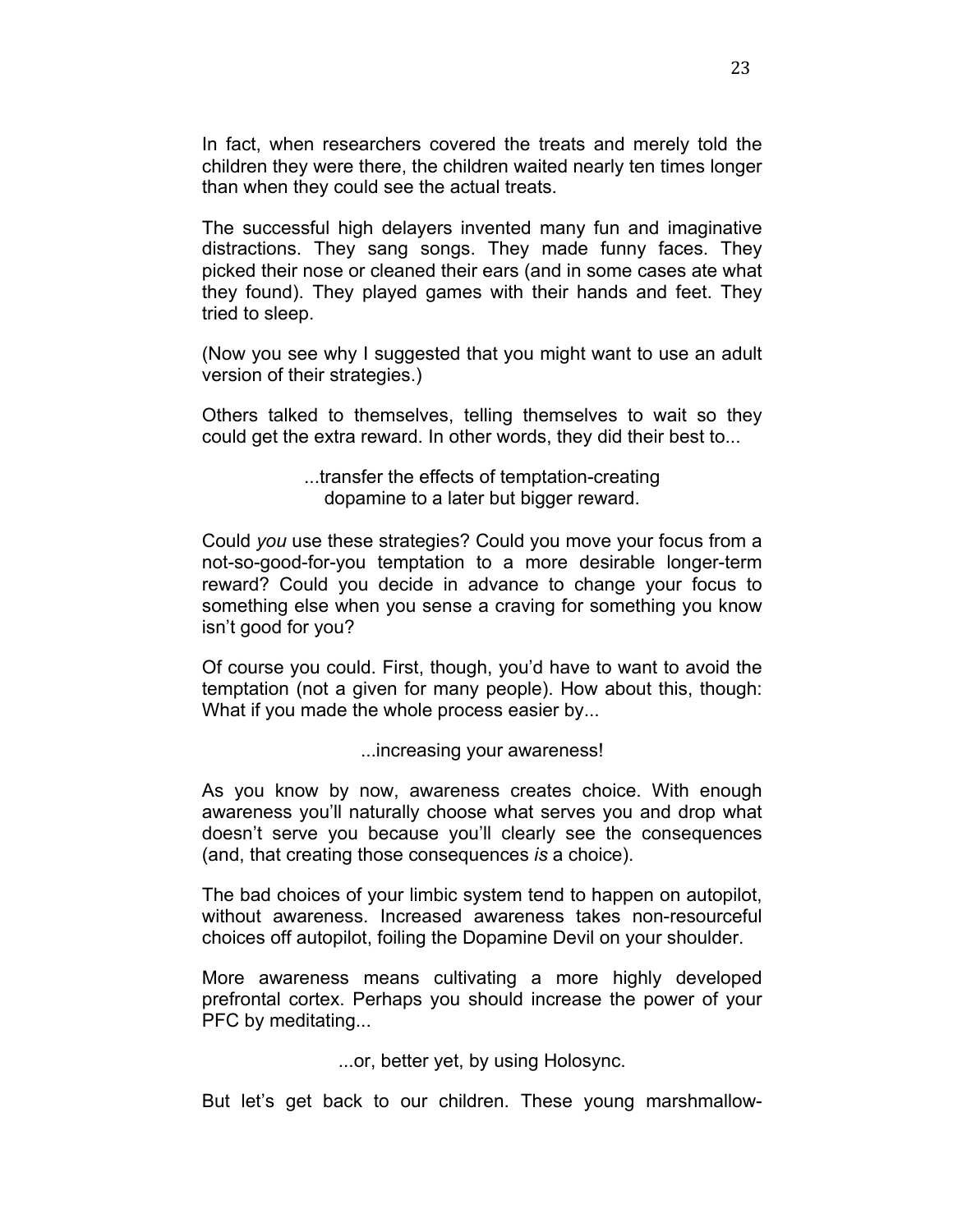In fact, when researchers covered the treats and merely told the children they were there, the children waited nearly ten times longer than when they could see the actual treats.

The successful high delayers invented many fun and imaginative distractions. They sang songs. They made funny faces. They picked their nose or cleaned their ears (and in some cases ate what they found). They played games with their hands and feet. They tried to sleep.

(Now you see why I suggested that you might want to use an adult version of their strategies.)

Others talked to themselves, telling themselves to wait so they could get the extra reward. In other words, they did their best to...

> ...transfer the effects of temptation-creating dopamine to a later but bigger reward.

Could *you* use these strategies? Could you move your focus from a not-so-good-for-you temptation to a more desirable longer-term reward? Could you decide in advance to change your focus to something else when you sense a craving for something you know isn't good for you?

Of course you could. First, though, you'd have to want to avoid the temptation (not a given for many people). How about this, though: What if you made the whole process easier by...

...increasing your awareness!

As you know by now, awareness creates choice. With enough awareness you'll naturally choose what serves you and drop what doesn't serve you because you'll clearly see the consequences (and, that creating those consequences *is* a choice).

The bad choices of your limbic system tend to happen on autopilot, without awareness. Increased awareness takes non-resourceful choices off autopilot, foiling the Dopamine Devil on your shoulder.

More awareness means cultivating a more highly developed prefrontal cortex. Perhaps you should increase the power of your PFC by meditating...

...or, better yet, by using Holosync.

But let's get back to our children. These young marshmallow-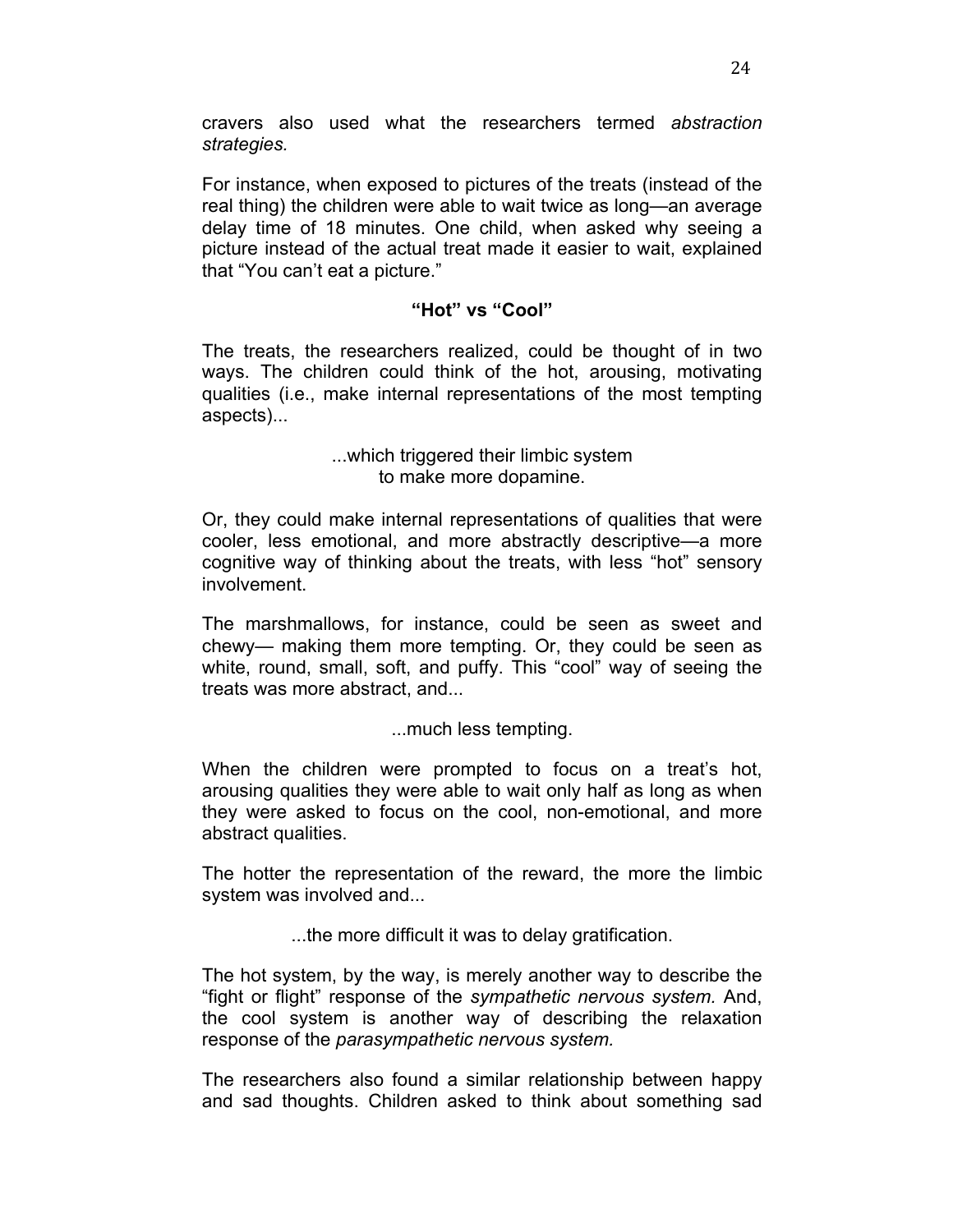cravers also used what the researchers termed *abstraction strategies.* 

For instance, when exposed to pictures of the treats (instead of the real thing) the children were able to wait twice as long—an average delay time of 18 minutes. One child, when asked why seeing a picture instead of the actual treat made it easier to wait, explained that "You can't eat a picture."

### **"Hot" vs "Cool"**

The treats, the researchers realized, could be thought of in two ways. The children could think of the hot, arousing, motivating qualities (i.e., make internal representations of the most tempting aspects)...

> ...which triggered their limbic system to make more dopamine.

Or, they could make internal representations of qualities that were cooler, less emotional, and more abstractly descriptive—a more cognitive way of thinking about the treats, with less "hot" sensory involvement.

The marshmallows, for instance, could be seen as sweet and chewy— making them more tempting. Or, they could be seen as white, round, small, soft, and puffy. This "cool" way of seeing the treats was more abstract, and...

...much less tempting.

When the children were prompted to focus on a treat's hot, arousing qualities they were able to wait only half as long as when they were asked to focus on the cool, non-emotional, and more abstract qualities.

The hotter the representation of the reward, the more the limbic system was involved and...

...the more difficult it was to delay gratification.

The hot system, by the way, is merely another way to describe the "fight or flight" response of the *sympathetic nervous system.* And, the cool system is another way of describing the relaxation response of the *parasympathetic nervous system.* 

The researchers also found a similar relationship between happy and sad thoughts. Children asked to think about something sad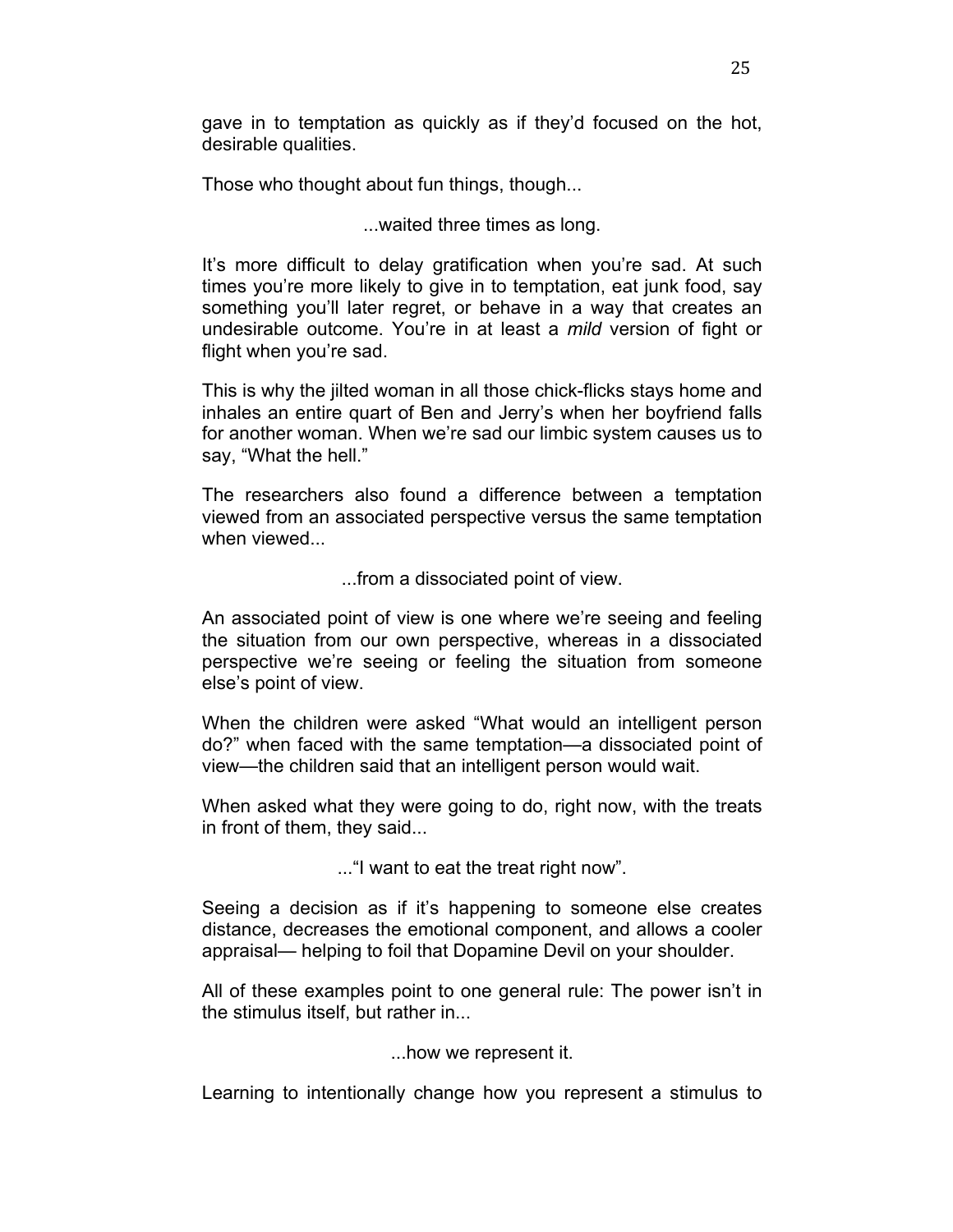gave in to temptation as quickly as if they'd focused on the hot, desirable qualities.

Those who thought about fun things, though...

...waited three times as long.

It's more difficult to delay gratification when you're sad. At such times you're more likely to give in to temptation, eat junk food, say something you'll later regret, or behave in a way that creates an undesirable outcome. You're in at least a *mild* version of fight or flight when you're sad.

This is why the jilted woman in all those chick-flicks stays home and inhales an entire quart of Ben and Jerry's when her boyfriend falls for another woman. When we're sad our limbic system causes us to say, "What the hell."

The researchers also found a difference between a temptation viewed from an associated perspective versus the same temptation when viewed...

...from a dissociated point of view.

An associated point of view is one where we're seeing and feeling the situation from our own perspective, whereas in a dissociated perspective we're seeing or feeling the situation from someone else's point of view.

When the children were asked "What would an intelligent person do?" when faced with the same temptation—a dissociated point of view—the children said that an intelligent person would wait.

When asked what they were going to do, right now, with the treats in front of them, they said...

..."I want to eat the treat right now".

Seeing a decision as if it's happening to someone else creates distance, decreases the emotional component, and allows a cooler appraisal— helping to foil that Dopamine Devil on your shoulder.

All of these examples point to one general rule: The power isn't in the stimulus itself, but rather in...

...how we represent it.

Learning to intentionally change how you represent a stimulus to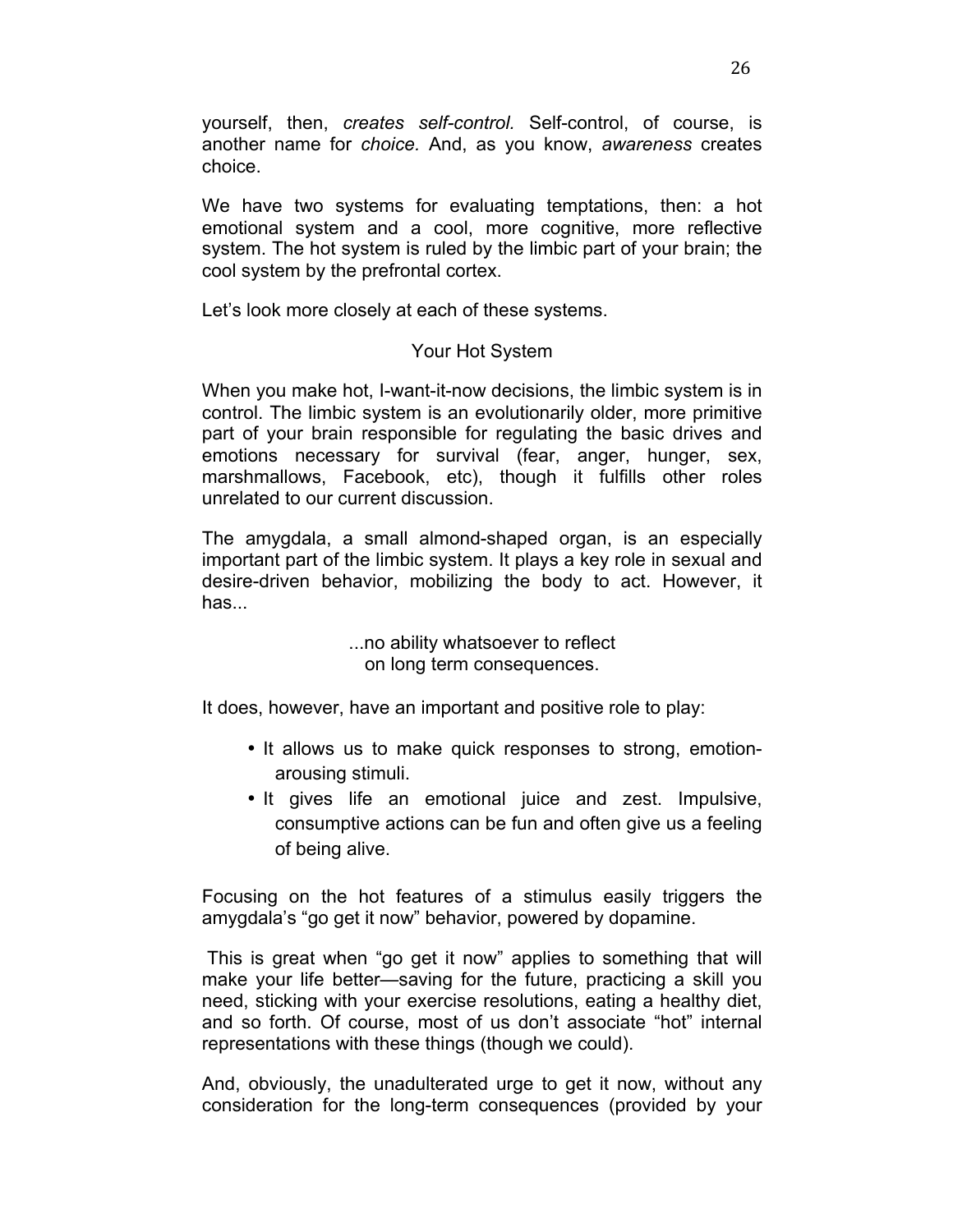yourself, then, *creates self-control.* Self-control, of course, is another name for *choice.* And, as you know, *awareness* creates choice.

We have two systems for evaluating temptations, then: a hot emotional system and a cool, more cognitive, more reflective system. The hot system is ruled by the limbic part of your brain; the cool system by the prefrontal cortex.

Let's look more closely at each of these systems.

### Your Hot System

When you make hot, I-want-it-now decisions, the limbic system is in control. The limbic system is an evolutionarily older, more primitive part of your brain responsible for regulating the basic drives and emotions necessary for survival (fear, anger, hunger, sex, marshmallows, Facebook, etc), though it fulfills other roles unrelated to our current discussion.

The amygdala, a small almond-shaped organ, is an especially important part of the limbic system. It plays a key role in sexual and desire-driven behavior, mobilizing the body to act. However, it has...

> ...no ability whatsoever to reflect on long term consequences.

It does, however, have an important and positive role to play:

- It allows us to make quick responses to strong, emotionarousing stimuli.
- It gives life an emotional juice and zest. Impulsive, consumptive actions can be fun and often give us a feeling of being alive.

Focusing on the hot features of a stimulus easily triggers the amygdala's "go get it now" behavior, powered by dopamine.

This is great when "go get it now" applies to something that will make your life better—saving for the future, practicing a skill you need, sticking with your exercise resolutions, eating a healthy diet, and so forth. Of course, most of us don't associate "hot" internal representations with these things (though we could).

And, obviously, the unadulterated urge to get it now, without any consideration for the long-term consequences (provided by your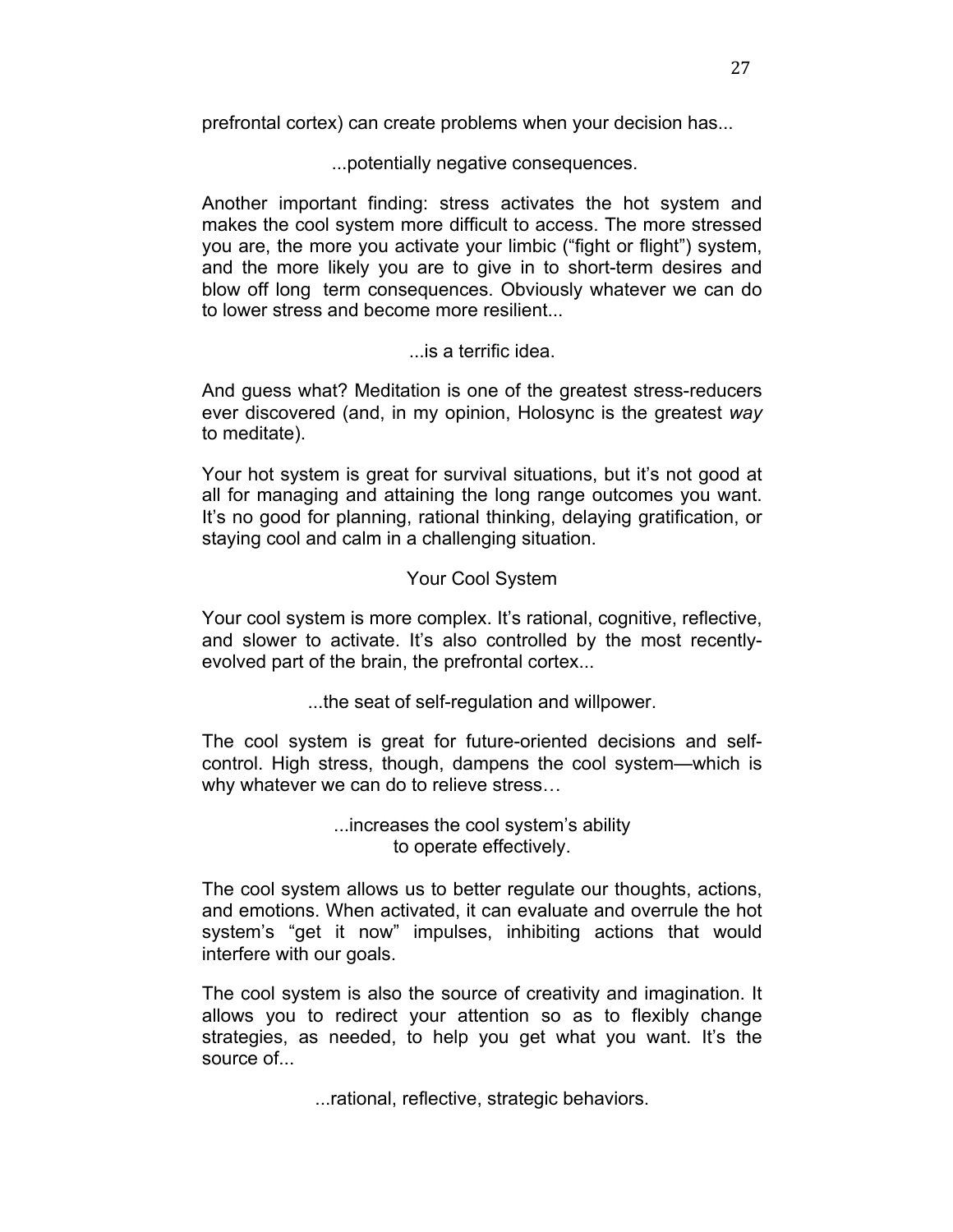prefrontal cortex) can create problems when your decision has...

...potentially negative consequences.

Another important finding: stress activates the hot system and makes the cool system more difficult to access. The more stressed you are, the more you activate your limbic ("fight or flight") system, and the more likely you are to give in to short-term desires and blow off long term consequences. Obviously whatever we can do to lower stress and become more resilient...

...is a terrific idea.

And guess what? Meditation is one of the greatest stress-reducers ever discovered (and, in my opinion, Holosync is the greatest *way*  to meditate).

Your hot system is great for survival situations, but it's not good at all for managing and attaining the long range outcomes you want. It's no good for planning, rational thinking, delaying gratification, or staying cool and calm in a challenging situation.

### Your Cool System

Your cool system is more complex. It's rational, cognitive, reflective, and slower to activate. It's also controlled by the most recentlyevolved part of the brain, the prefrontal cortex...

...the seat of self-regulation and willpower.

The cool system is great for future-oriented decisions and selfcontrol. High stress, though, dampens the cool system—which is why whatever we can do to relieve stress…

> ...increases the cool system's ability to operate effectively.

The cool system allows us to better regulate our thoughts, actions, and emotions. When activated, it can evaluate and overrule the hot system's "get it now" impulses, inhibiting actions that would interfere with our goals.

The cool system is also the source of creativity and imagination. It allows you to redirect your attention so as to flexibly change strategies, as needed, to help you get what you want. It's the source of...

...rational, reflective, strategic behaviors.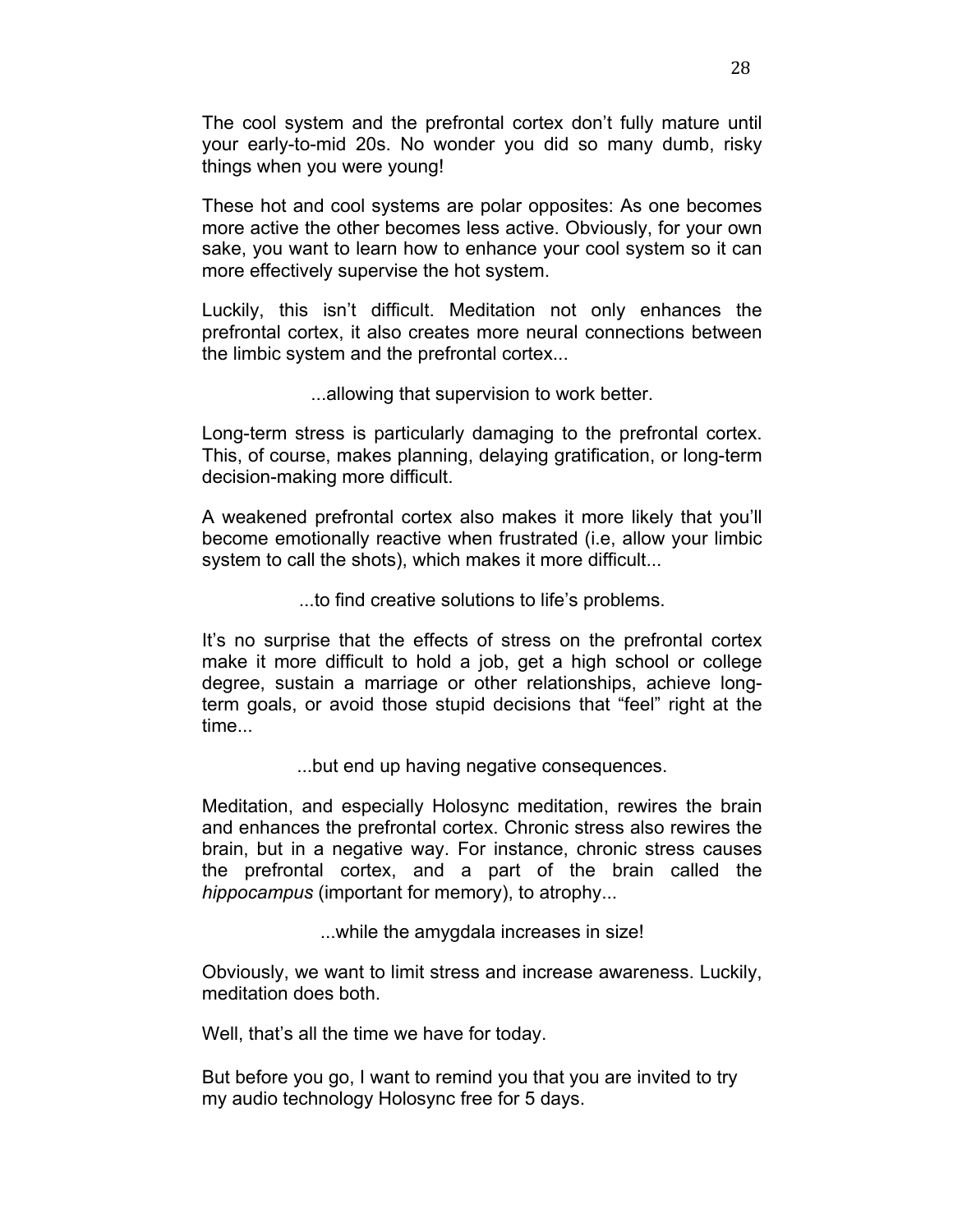The cool system and the prefrontal cortex don't fully mature until your early-to-mid 20s. No wonder you did so many dumb, risky things when you were young!

These hot and cool systems are polar opposites: As one becomes more active the other becomes less active. Obviously, for your own sake, you want to learn how to enhance your cool system so it can more effectively supervise the hot system.

Luckily, this isn't difficult. Meditation not only enhances the prefrontal cortex, it also creates more neural connections between the limbic system and the prefrontal cortex...

...allowing that supervision to work better.

Long-term stress is particularly damaging to the prefrontal cortex. This, of course, makes planning, delaying gratification, or long-term decision-making more difficult.

A weakened prefrontal cortex also makes it more likely that you'll become emotionally reactive when frustrated (i.e, allow your limbic system to call the shots), which makes it more difficult...

...to find creative solutions to life's problems.

It's no surprise that the effects of stress on the prefrontal cortex make it more difficult to hold a job, get a high school or college degree, sustain a marriage or other relationships, achieve longterm goals, or avoid those stupid decisions that "feel" right at the time...

...but end up having negative consequences.

Meditation, and especially Holosync meditation, rewires the brain and enhances the prefrontal cortex. Chronic stress also rewires the brain, but in a negative way. For instance, chronic stress causes the prefrontal cortex, and a part of the brain called the *hippocampus* (important for memory), to atrophy...

...while the amygdala increases in size!

Obviously, we want to limit stress and increase awareness. Luckily, meditation does both.

Well, that's all the time we have for today.

But before you go, I want to remind you that you are invited to try my audio technology Holosync free for 5 days.